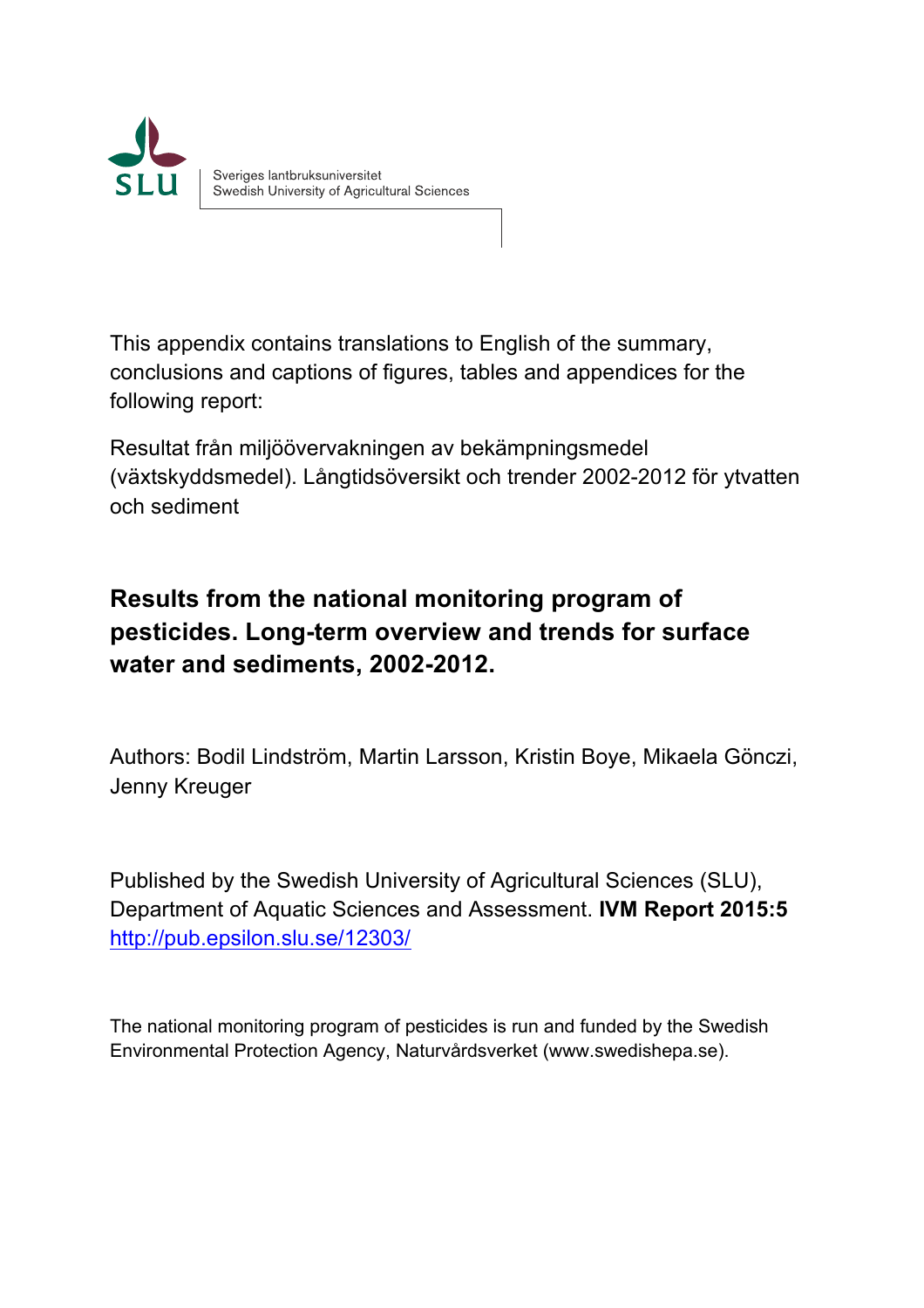

This appendix contains translations to English of the summary, conclusions and captions of figures, tables and appendices for the following report:

Resultat från miljöövervakningen av bekämpningsmedel (växtskyddsmedel). Långtidsöversikt och trender 2002-2012 för ytvatten och sediment

### **Results from the national monitoring program of pesticides. Long-term overview and trends for surface water and sediments, 2002-2012.**

Authors: Bodil Lindström, Martin Larsson, Kristin Boye, Mikaela Gönczi, Jenny Kreuger

Published by the Swedish University of Agricultural Sciences (SLU), Department of Aquatic Sciences and Assessment. **IVM Report 2015:5** http://pub.epsilon.slu.se/12303/

The national monitoring program of pesticides is run and funded by the Swedish Environmental Protection Agency, Naturvårdsverket (www.swedishepa.se).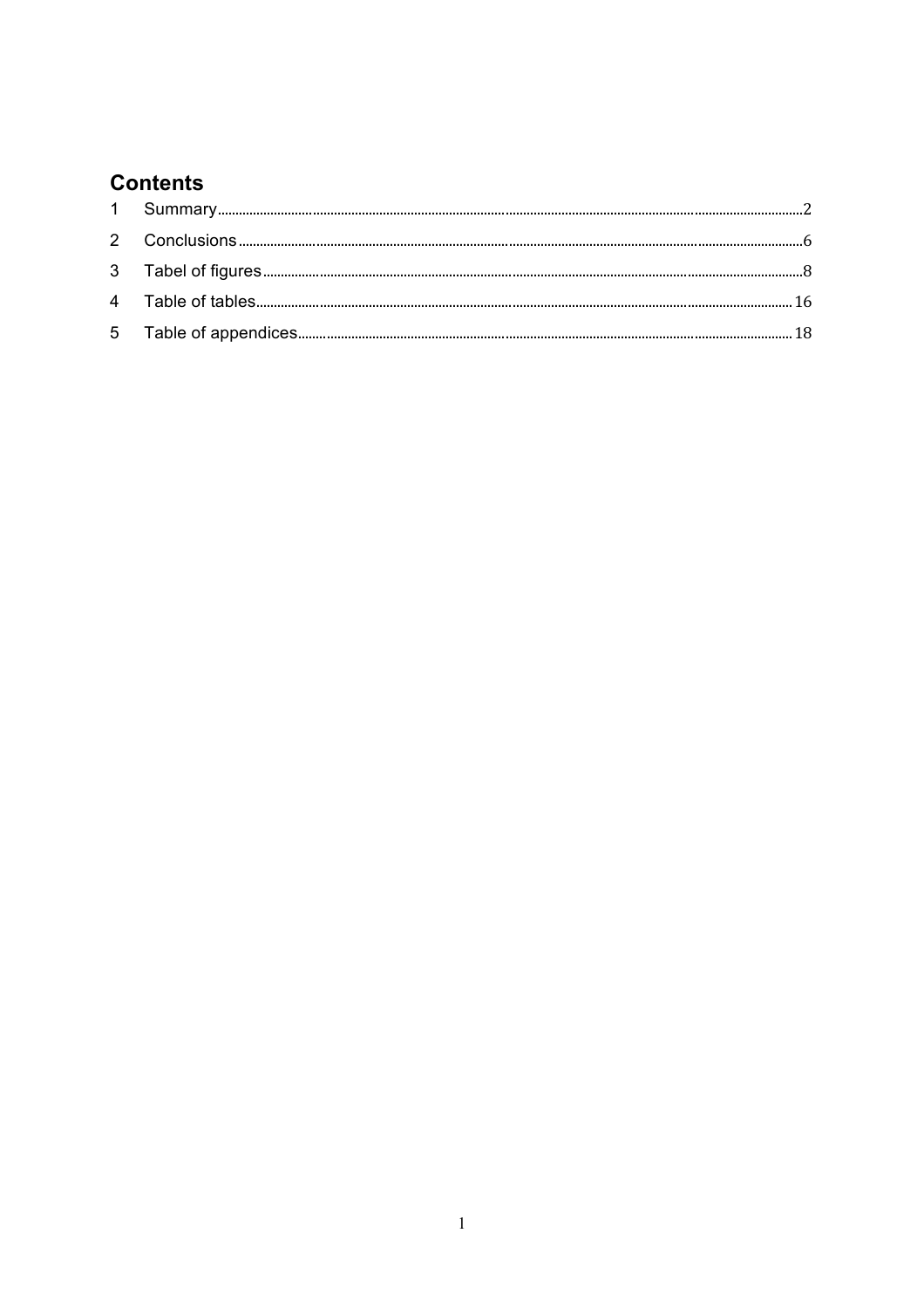### **Contents**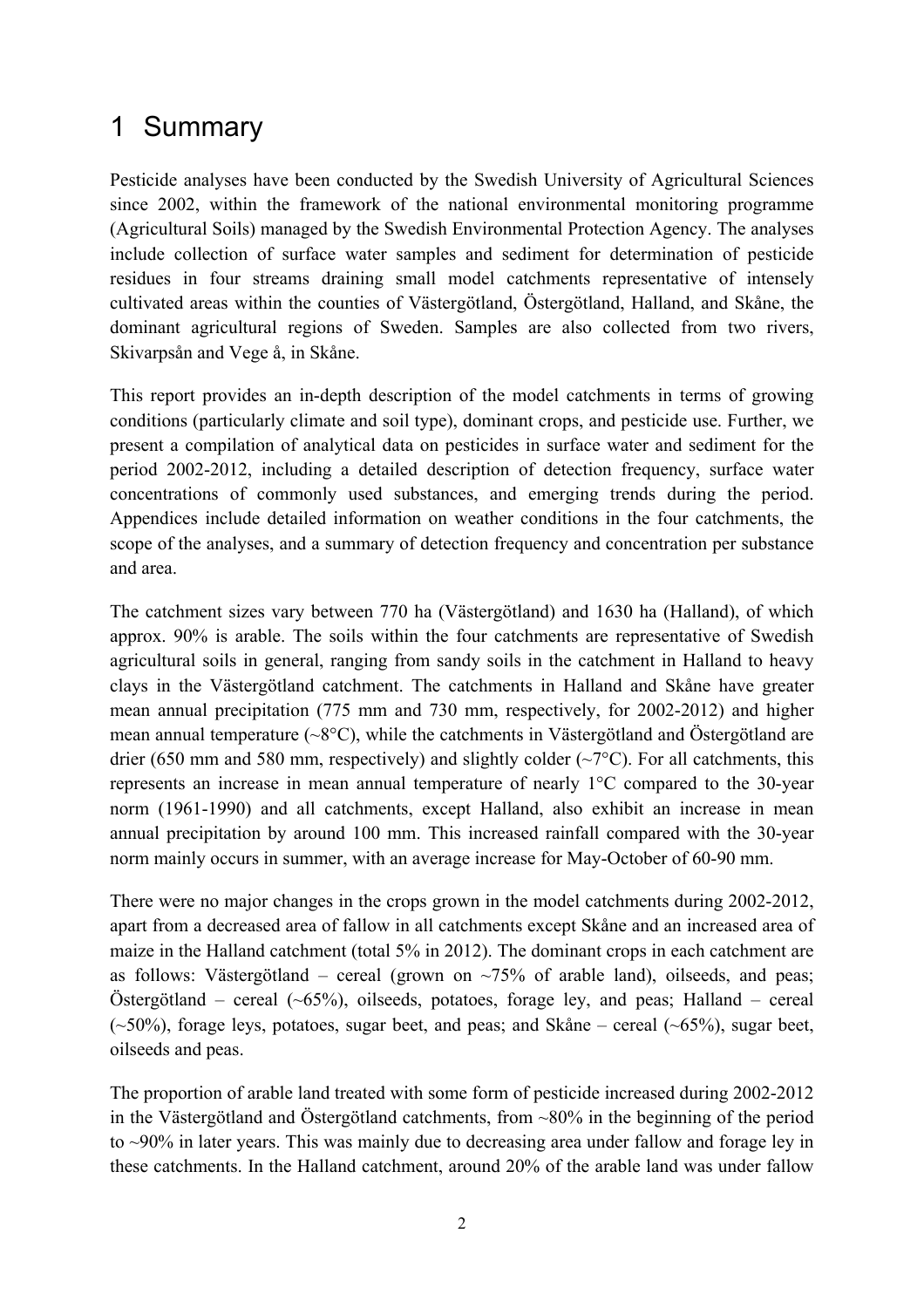# 1 Summary

Pesticide analyses have been conducted by the Swedish University of Agricultural Sciences since 2002, within the framework of the national environmental monitoring programme (Agricultural Soils) managed by the Swedish Environmental Protection Agency. The analyses include collection of surface water samples and sediment for determination of pesticide residues in four streams draining small model catchments representative of intensely cultivated areas within the counties of Västergötland, Östergötland, Halland, and Skåne, the dominant agricultural regions of Sweden. Samples are also collected from two rivers, Skivarpsån and Vege å, in Skåne.

This report provides an in-depth description of the model catchments in terms of growing conditions (particularly climate and soil type), dominant crops, and pesticide use. Further, we present a compilation of analytical data on pesticides in surface water and sediment for the period 2002-2012, including a detailed description of detection frequency, surface water concentrations of commonly used substances, and emerging trends during the period. Appendices include detailed information on weather conditions in the four catchments, the scope of the analyses, and a summary of detection frequency and concentration per substance and area.

The catchment sizes vary between 770 ha (Västergötland) and 1630 ha (Halland), of which approx. 90% is arable. The soils within the four catchments are representative of Swedish agricultural soils in general, ranging from sandy soils in the catchment in Halland to heavy clays in the Västergötland catchment. The catchments in Halland and Skåne have greater mean annual precipitation (775 mm and 730 mm, respectively, for 2002-2012) and higher mean annual temperature (~8°C), while the catchments in Västergötland and Östergötland are drier (650 mm and 580 mm, respectively) and slightly colder ( $\sim$ 7 $\degree$ C). For all catchments, this represents an increase in mean annual temperature of nearly 1°C compared to the 30-year norm (1961-1990) and all catchments, except Halland, also exhibit an increase in mean annual precipitation by around 100 mm. This increased rainfall compared with the 30-year norm mainly occurs in summer, with an average increase for May-October of 60-90 mm.

There were no major changes in the crops grown in the model catchments during 2002-2012, apart from a decreased area of fallow in all catchments except Skåne and an increased area of maize in the Halland catchment (total 5% in 2012). The dominant crops in each catchment are as follows: Västergötland – cereal (grown on  $\sim$ 75% of arable land), oilseeds, and peas; Östergötland – cereal (~65%), oilseeds, potatoes, forage ley, and peas; Halland – cereal  $(\sim 50\%)$ , forage leys, potatoes, sugar beet, and peas; and Skåne – cereal  $(\sim 65\%)$ , sugar beet, oilseeds and peas.

The proportion of arable land treated with some form of pesticide increased during 2002-2012 in the Västergötland and Östergötland catchments, from ~80% in the beginning of the period to ~90% in later years. This was mainly due to decreasing area under fallow and forage ley in these catchments. In the Halland catchment, around 20% of the arable land was under fallow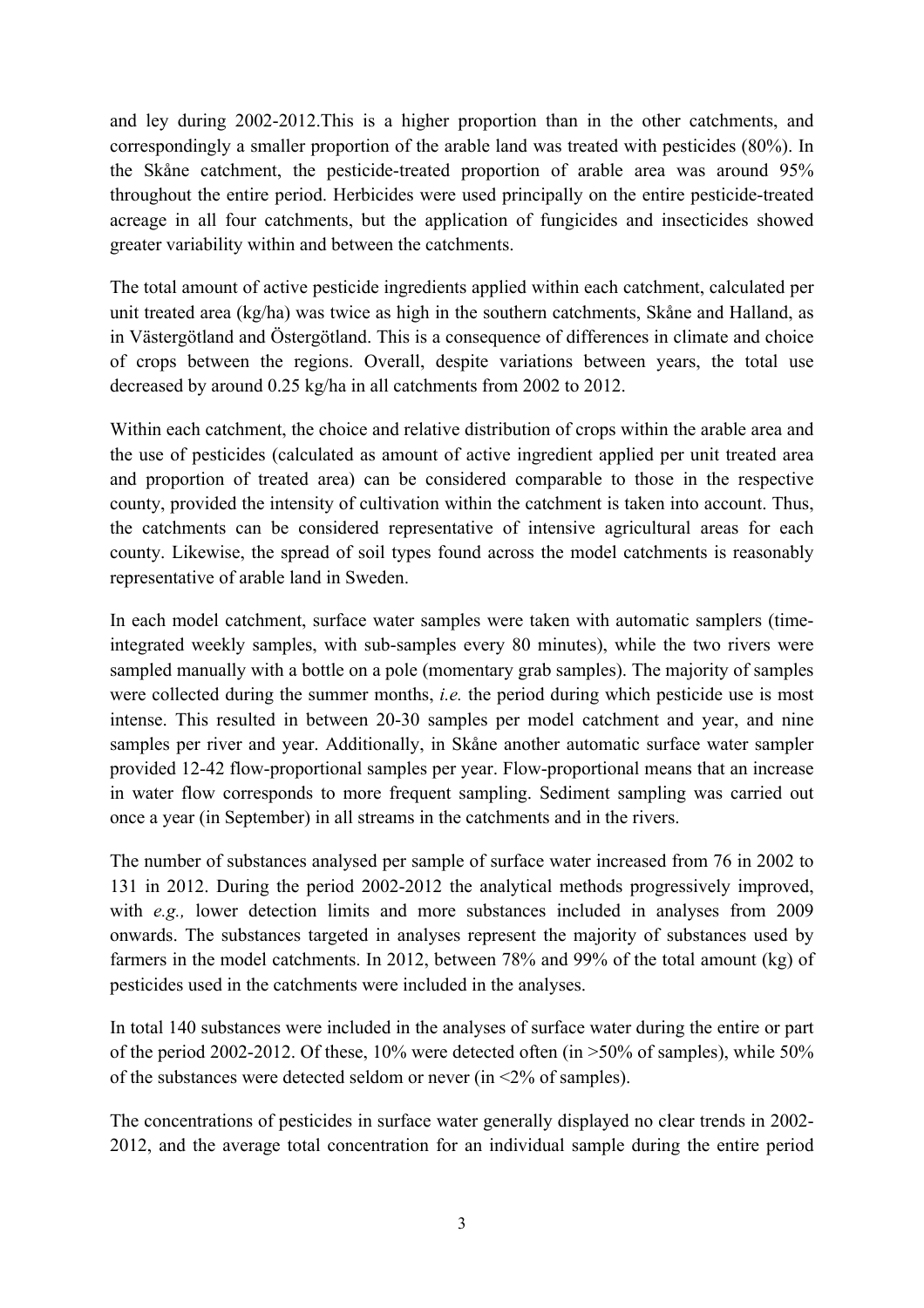and ley during 2002-2012.This is a higher proportion than in the other catchments, and correspondingly a smaller proportion of the arable land was treated with pesticides (80%). In the Skåne catchment, the pesticide-treated proportion of arable area was around 95% throughout the entire period. Herbicides were used principally on the entire pesticide-treated acreage in all four catchments, but the application of fungicides and insecticides showed greater variability within and between the catchments.

The total amount of active pesticide ingredients applied within each catchment, calculated per unit treated area (kg/ha) was twice as high in the southern catchments, Skåne and Halland, as in Västergötland and Östergötland. This is a consequence of differences in climate and choice of crops between the regions. Overall, despite variations between years, the total use decreased by around 0.25 kg/ha in all catchments from 2002 to 2012.

Within each catchment, the choice and relative distribution of crops within the arable area and the use of pesticides (calculated as amount of active ingredient applied per unit treated area and proportion of treated area) can be considered comparable to those in the respective county, provided the intensity of cultivation within the catchment is taken into account. Thus, the catchments can be considered representative of intensive agricultural areas for each county. Likewise, the spread of soil types found across the model catchments is reasonably representative of arable land in Sweden.

In each model catchment, surface water samples were taken with automatic samplers (timeintegrated weekly samples, with sub-samples every 80 minutes), while the two rivers were sampled manually with a bottle on a pole (momentary grab samples). The majority of samples were collected during the summer months, *i.e.* the period during which pesticide use is most intense. This resulted in between 20-30 samples per model catchment and year, and nine samples per river and year. Additionally, in Skåne another automatic surface water sampler provided 12-42 flow-proportional samples per year. Flow-proportional means that an increase in water flow corresponds to more frequent sampling. Sediment sampling was carried out once a year (in September) in all streams in the catchments and in the rivers.

The number of substances analysed per sample of surface water increased from 76 in 2002 to 131 in 2012. During the period 2002-2012 the analytical methods progressively improved, with *e.g.*, lower detection limits and more substances included in analyses from 2009 onwards. The substances targeted in analyses represent the majority of substances used by farmers in the model catchments. In 2012, between 78% and 99% of the total amount (kg) of pesticides used in the catchments were included in the analyses.

In total 140 substances were included in the analyses of surface water during the entire or part of the period 2002-2012. Of these, 10% were detected often (in >50% of samples), while 50% of the substances were detected seldom or never (in <2% of samples).

The concentrations of pesticides in surface water generally displayed no clear trends in 2002- 2012, and the average total concentration for an individual sample during the entire period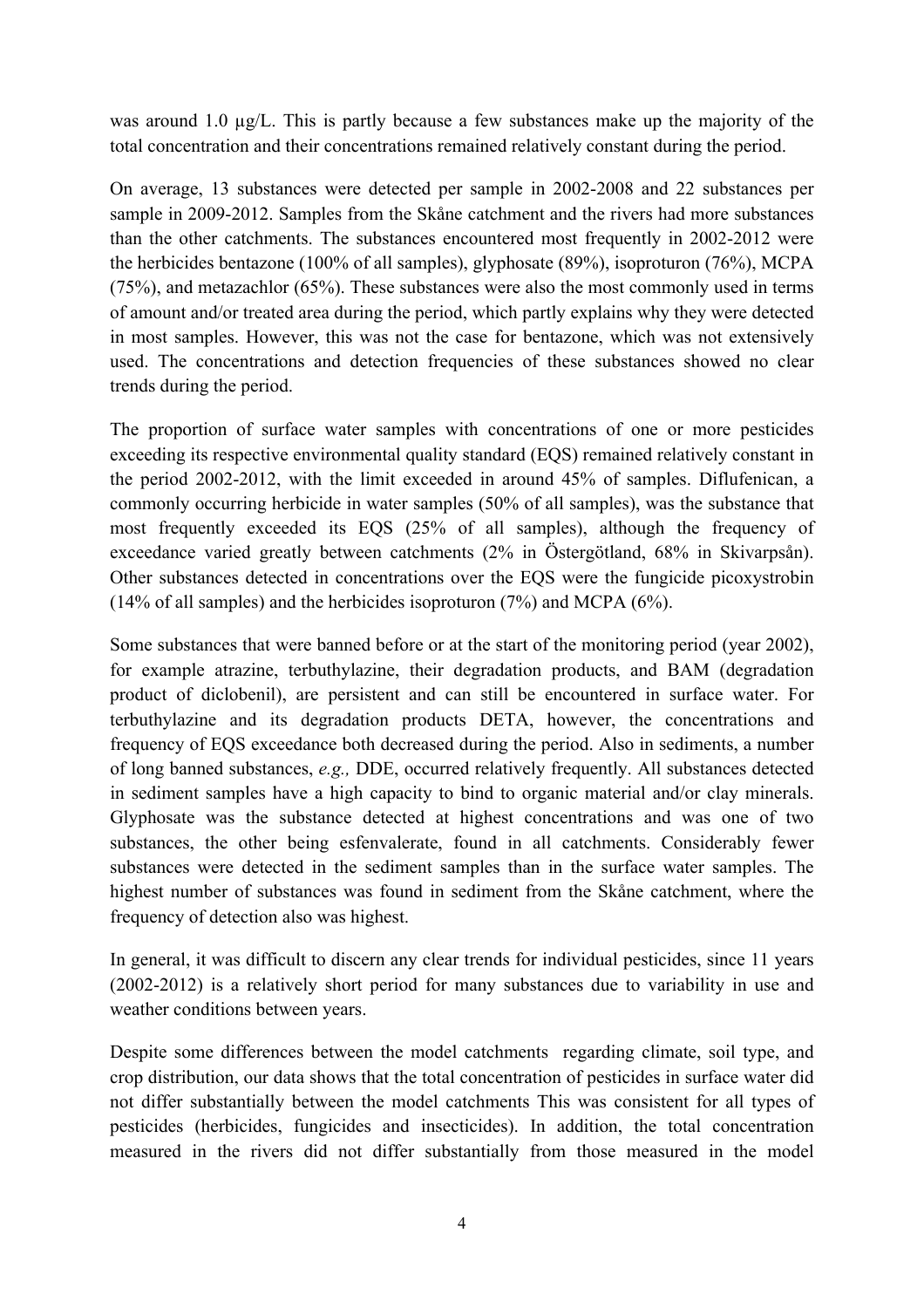was around 1.0  $\mu$ g/L. This is partly because a few substances make up the majority of the total concentration and their concentrations remained relatively constant during the period.

On average, 13 substances were detected per sample in 2002-2008 and 22 substances per sample in 2009-2012. Samples from the Skåne catchment and the rivers had more substances than the other catchments. The substances encountered most frequently in 2002-2012 were the herbicides bentazone (100% of all samples), glyphosate (89%), isoproturon (76%), MCPA (75%), and metazachlor (65%). These substances were also the most commonly used in terms of amount and/or treated area during the period, which partly explains why they were detected in most samples. However, this was not the case for bentazone, which was not extensively used. The concentrations and detection frequencies of these substances showed no clear trends during the period.

The proportion of surface water samples with concentrations of one or more pesticides exceeding its respective environmental quality standard (EQS) remained relatively constant in the period 2002-2012, with the limit exceeded in around 45% of samples. Diflufenican, a commonly occurring herbicide in water samples (50% of all samples), was the substance that most frequently exceeded its EQS (25% of all samples), although the frequency of exceedance varied greatly between catchments (2% in Östergötland, 68% in Skivarpsån). Other substances detected in concentrations over the EQS were the fungicide picoxystrobin (14% of all samples) and the herbicides isoproturon (7%) and MCPA (6%).

Some substances that were banned before or at the start of the monitoring period (year 2002), for example atrazine, terbuthylazine, their degradation products, and BAM (degradation product of diclobenil), are persistent and can still be encountered in surface water. For terbuthylazine and its degradation products DETA, however, the concentrations and frequency of EQS exceedance both decreased during the period. Also in sediments, a number of long banned substances, *e.g.,* DDE, occurred relatively frequently. All substances detected in sediment samples have a high capacity to bind to organic material and/or clay minerals. Glyphosate was the substance detected at highest concentrations and was one of two substances, the other being esfenvalerate, found in all catchments. Considerably fewer substances were detected in the sediment samples than in the surface water samples. The highest number of substances was found in sediment from the Skåne catchment, where the frequency of detection also was highest.

In general, it was difficult to discern any clear trends for individual pesticides, since 11 years (2002-2012) is a relatively short period for many substances due to variability in use and weather conditions between years.

Despite some differences between the model catchments regarding climate, soil type, and crop distribution, our data shows that the total concentration of pesticides in surface water did not differ substantially between the model catchments This was consistent for all types of pesticides (herbicides, fungicides and insecticides). In addition, the total concentration measured in the rivers did not differ substantially from those measured in the model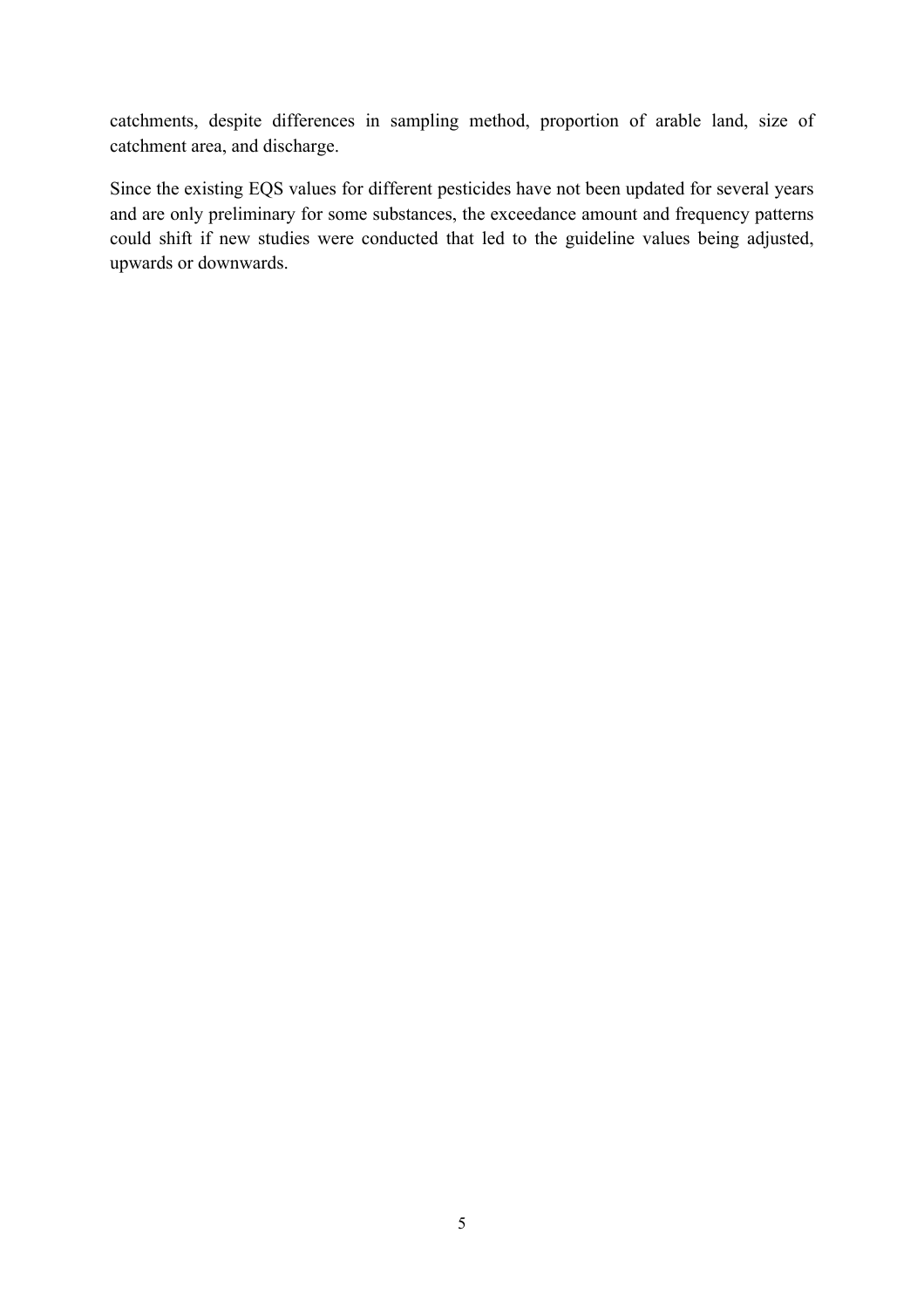catchments, despite differences in sampling method, proportion of arable land, size of catchment area, and discharge.

Since the existing EQS values for different pesticides have not been updated for several years and are only preliminary for some substances, the exceedance amount and frequency patterns could shift if new studies were conducted that led to the guideline values being adjusted, upwards or downwards.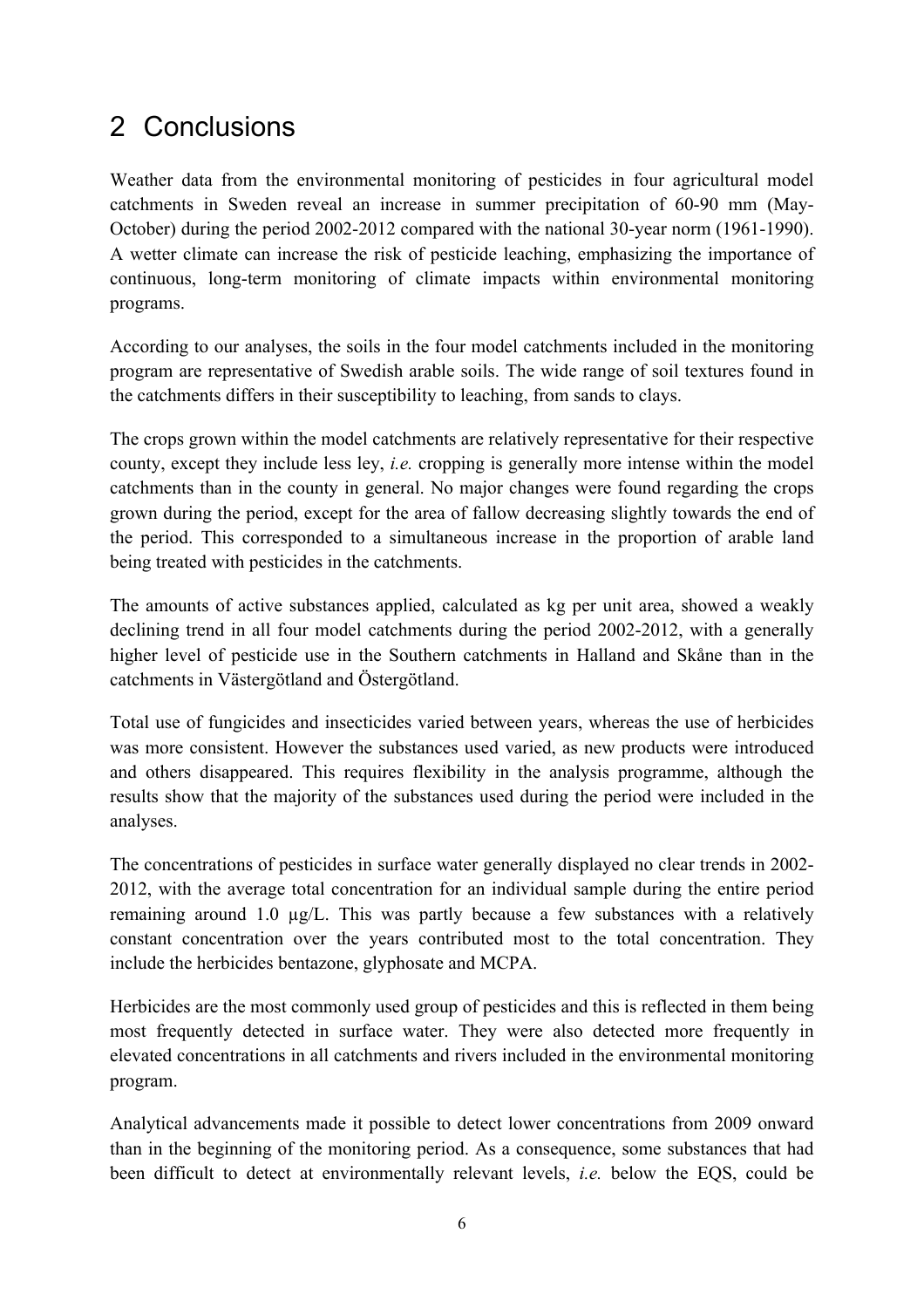# 2 Conclusions

Weather data from the environmental monitoring of pesticides in four agricultural model catchments in Sweden reveal an increase in summer precipitation of 60-90 mm (May-October) during the period 2002-2012 compared with the national 30-year norm (1961-1990). A wetter climate can increase the risk of pesticide leaching, emphasizing the importance of continuous, long-term monitoring of climate impacts within environmental monitoring programs.

According to our analyses, the soils in the four model catchments included in the monitoring program are representative of Swedish arable soils. The wide range of soil textures found in the catchments differs in their susceptibility to leaching, from sands to clays.

The crops grown within the model catchments are relatively representative for their respective county, except they include less ley, *i.e.* cropping is generally more intense within the model catchments than in the county in general. No major changes were found regarding the crops grown during the period, except for the area of fallow decreasing slightly towards the end of the period. This corresponded to a simultaneous increase in the proportion of arable land being treated with pesticides in the catchments.

The amounts of active substances applied, calculated as kg per unit area, showed a weakly declining trend in all four model catchments during the period 2002-2012, with a generally higher level of pesticide use in the Southern catchments in Halland and Skåne than in the catchments in Västergötland and Östergötland.

Total use of fungicides and insecticides varied between years, whereas the use of herbicides was more consistent. However the substances used varied, as new products were introduced and others disappeared. This requires flexibility in the analysis programme, although the results show that the majority of the substances used during the period were included in the analyses.

The concentrations of pesticides in surface water generally displayed no clear trends in 2002- 2012, with the average total concentration for an individual sample during the entire period remaining around 1.0 µg/L. This was partly because a few substances with a relatively constant concentration over the years contributed most to the total concentration. They include the herbicides bentazone, glyphosate and MCPA.

Herbicides are the most commonly used group of pesticides and this is reflected in them being most frequently detected in surface water. They were also detected more frequently in elevated concentrations in all catchments and rivers included in the environmental monitoring program.

Analytical advancements made it possible to detect lower concentrations from 2009 onward than in the beginning of the monitoring period. As a consequence, some substances that had been difficult to detect at environmentally relevant levels, *i.e.* below the EQS, could be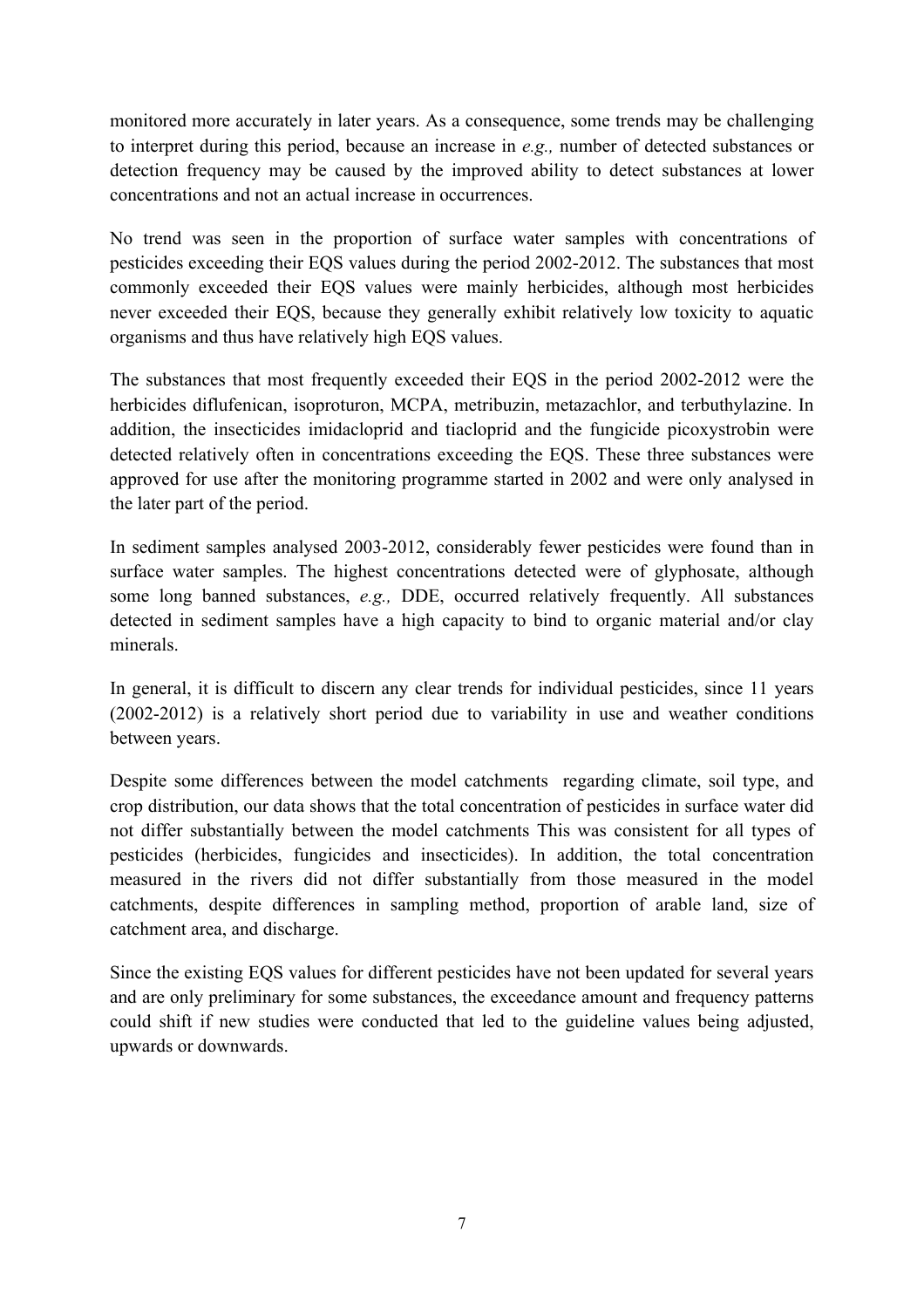monitored more accurately in later years. As a consequence, some trends may be challenging to interpret during this period, because an increase in *e.g.,* number of detected substances or detection frequency may be caused by the improved ability to detect substances at lower concentrations and not an actual increase in occurrences.

No trend was seen in the proportion of surface water samples with concentrations of pesticides exceeding their EQS values during the period 2002-2012. The substances that most commonly exceeded their EQS values were mainly herbicides, although most herbicides never exceeded their EQS, because they generally exhibit relatively low toxicity to aquatic organisms and thus have relatively high EQS values.

The substances that most frequently exceeded their EQS in the period 2002-2012 were the herbicides diflufenican, isoproturon, MCPA, metribuzin, metazachlor, and terbuthylazine. In addition, the insecticides imidacloprid and tiacloprid and the fungicide picoxystrobin were detected relatively often in concentrations exceeding the EQS. These three substances were approved for use after the monitoring programme started in 2002 and were only analysed in the later part of the period.

In sediment samples analysed 2003-2012, considerably fewer pesticides were found than in surface water samples. The highest concentrations detected were of glyphosate, although some long banned substances, *e.g.,* DDE, occurred relatively frequently. All substances detected in sediment samples have a high capacity to bind to organic material and/or clay minerals.

In general, it is difficult to discern any clear trends for individual pesticides, since 11 years (2002-2012) is a relatively short period due to variability in use and weather conditions between years.

Despite some differences between the model catchments regarding climate, soil type, and crop distribution, our data shows that the total concentration of pesticides in surface water did not differ substantially between the model catchments This was consistent for all types of pesticides (herbicides, fungicides and insecticides). In addition, the total concentration measured in the rivers did not differ substantially from those measured in the model catchments, despite differences in sampling method, proportion of arable land, size of catchment area, and discharge.

Since the existing EQS values for different pesticides have not been updated for several years and are only preliminary for some substances, the exceedance amount and frequency patterns could shift if new studies were conducted that led to the guideline values being adjusted, upwards or downwards.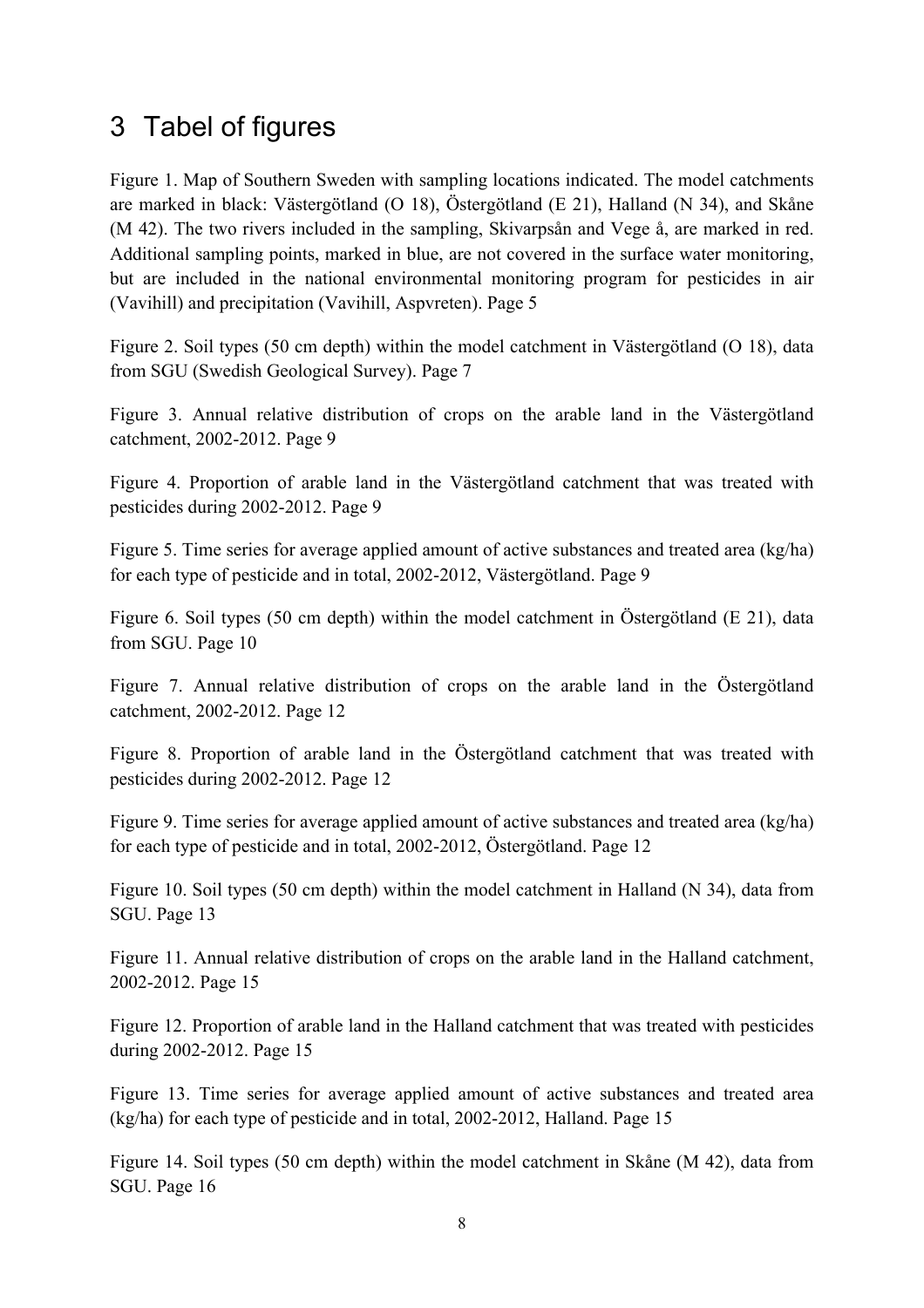### 3 Tabel of figures

Figure 1. Map of Southern Sweden with sampling locations indicated. The model catchments are marked in black: Västergötland (O 18), Östergötland (E 21), Halland (N 34), and Skåne (M 42). The two rivers included in the sampling, Skivarpsån and Vege å, are marked in red. Additional sampling points, marked in blue, are not covered in the surface water monitoring, but are included in the national environmental monitoring program for pesticides in air (Vavihill) and precipitation (Vavihill, Aspvreten). Page 5

Figure 2. Soil types (50 cm depth) within the model catchment in Västergötland (O 18), data from SGU (Swedish Geological Survey). Page 7

Figure 3. Annual relative distribution of crops on the arable land in the Västergötland catchment, 2002-2012. Page 9

Figure 4. Proportion of arable land in the Västergötland catchment that was treated with pesticides during 2002-2012. Page 9

Figure 5. Time series for average applied amount of active substances and treated area (kg/ha) for each type of pesticide and in total, 2002-2012, Västergötland. Page 9

Figure 6. Soil types (50 cm depth) within the model catchment in Östergötland (E 21), data from SGU. Page 10

Figure 7. Annual relative distribution of crops on the arable land in the Östergötland catchment, 2002-2012. Page 12

Figure 8. Proportion of arable land in the Östergötland catchment that was treated with pesticides during 2002-2012. Page 12

Figure 9. Time series for average applied amount of active substances and treated area (kg/ha) for each type of pesticide and in total, 2002-2012, Östergötland. Page 12

Figure 10. Soil types (50 cm depth) within the model catchment in Halland (N 34), data from SGU. Page 13

Figure 11. Annual relative distribution of crops on the arable land in the Halland catchment, 2002-2012. Page 15

Figure 12. Proportion of arable land in the Halland catchment that was treated with pesticides during 2002-2012. Page 15

Figure 13. Time series for average applied amount of active substances and treated area (kg/ha) for each type of pesticide and in total, 2002-2012, Halland. Page 15

Figure 14. Soil types (50 cm depth) within the model catchment in Skåne (M 42), data from SGU. Page 16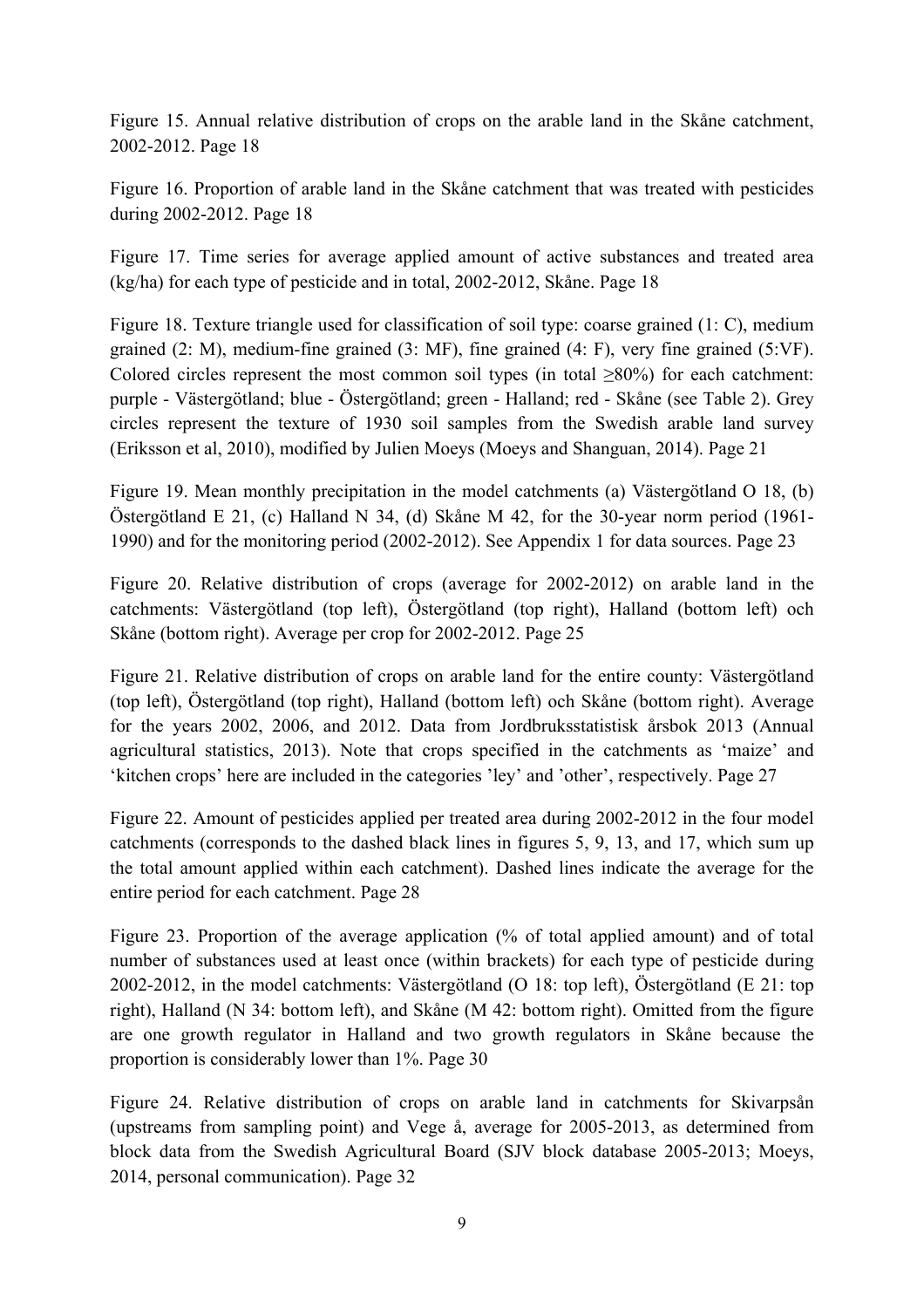Figure 15. Annual relative distribution of crops on the arable land in the Skåne catchment, 2002-2012. Page 18

Figure 16. Proportion of arable land in the Skåne catchment that was treated with pesticides during 2002-2012. Page 18

Figure 17. Time series for average applied amount of active substances and treated area (kg/ha) for each type of pesticide and in total, 2002-2012, Skåne. Page 18

Figure 18. Texture triangle used for classification of soil type: coarse grained (1: C), medium grained (2: M), medium-fine grained (3: MF), fine grained (4: F), very fine grained (5:VF). Colored circles represent the most common soil types (in total  $\geq 80\%$ ) for each catchment: purple - Västergötland; blue - Östergötland; green - Halland; red - Skåne (see Table 2). Grey circles represent the texture of 1930 soil samples from the Swedish arable land survey (Eriksson et al, 2010), modified by Julien Moeys (Moeys and Shanguan, 2014). Page 21

Figure 19. Mean monthly precipitation in the model catchments (a) Västergötland O 18, (b) Östergötland E 21, (c) Halland N 34, (d) Skåne M 42, for the 30-year norm period (1961- 1990) and for the monitoring period (2002-2012). See Appendix 1 for data sources. Page 23

Figure 20. Relative distribution of crops (average for 2002-2012) on arable land in the catchments: Västergötland (top left), Östergötland (top right), Halland (bottom left) och Skåne (bottom right). Average per crop for 2002-2012. Page 25

Figure 21. Relative distribution of crops on arable land for the entire county: Västergötland (top left), Östergötland (top right), Halland (bottom left) och Skåne (bottom right). Average for the years 2002, 2006, and 2012. Data from Jordbruksstatistisk årsbok 2013 (Annual agricultural statistics, 2013). Note that crops specified in the catchments as 'maize' and 'kitchen crops' here are included in the categories 'ley' and 'other', respectively. Page 27

Figure 22. Amount of pesticides applied per treated area during 2002-2012 in the four model catchments (corresponds to the dashed black lines in figures 5, 9, 13, and 17, which sum up the total amount applied within each catchment). Dashed lines indicate the average for the entire period for each catchment. Page 28

Figure 23. Proportion of the average application (% of total applied amount) and of total number of substances used at least once (within brackets) for each type of pesticide during 2002-2012, in the model catchments: Västergötland (O 18: top left), Östergötland (E 21: top right), Halland (N 34: bottom left), and Skåne (M 42: bottom right). Omitted from the figure are one growth regulator in Halland and two growth regulators in Skåne because the proportion is considerably lower than 1%. Page 30

Figure 24. Relative distribution of crops on arable land in catchments for Skivarpsån (upstreams from sampling point) and Vege å, average for 2005-2013, as determined from block data from the Swedish Agricultural Board (SJV block database 2005-2013; Moeys, 2014, personal communication). Page 32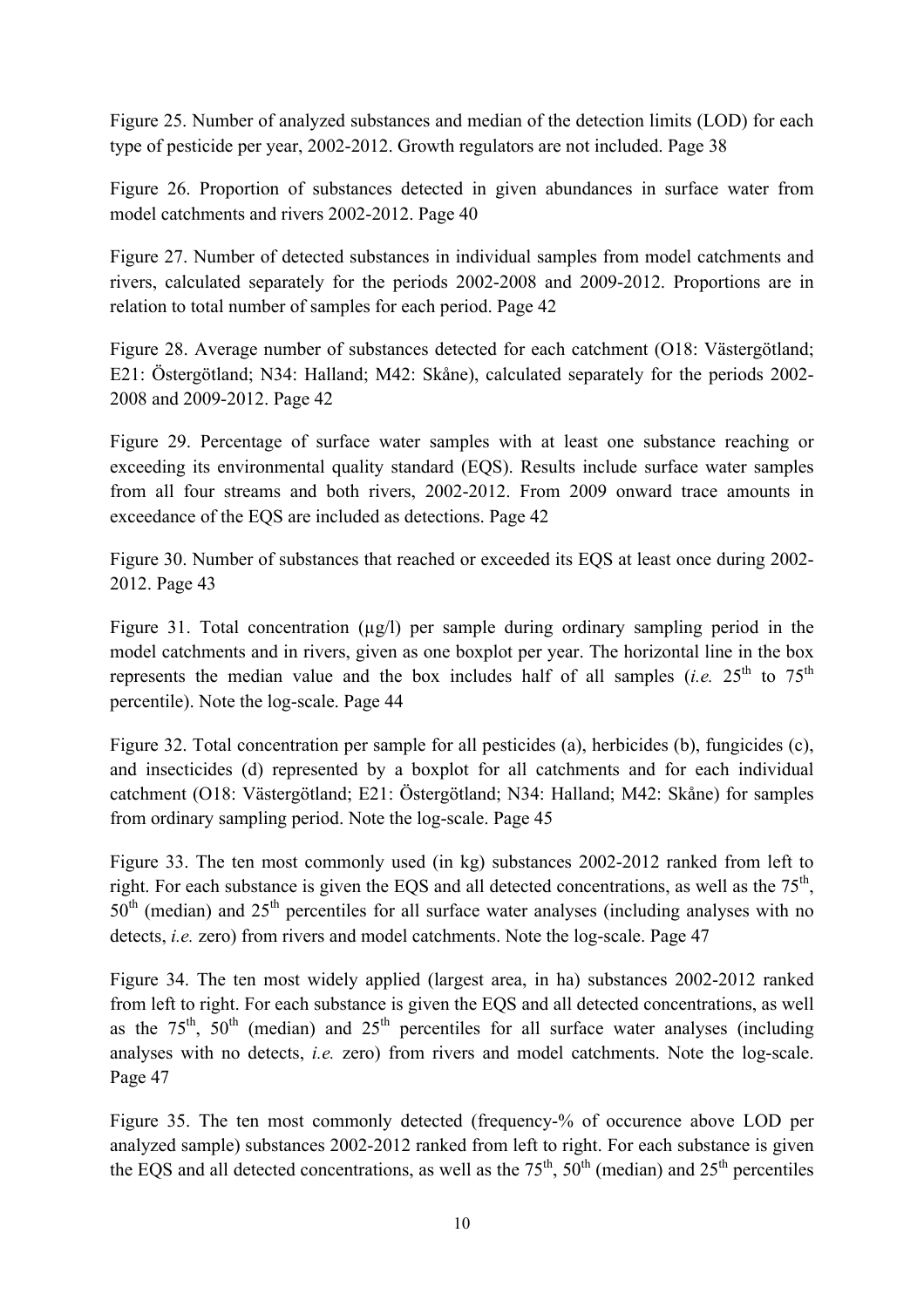Figure 25. Number of analyzed substances and median of the detection limits (LOD) for each type of pesticide per year, 2002-2012. Growth regulators are not included. Page 38

Figure 26. Proportion of substances detected in given abundances in surface water from model catchments and rivers 2002-2012. Page 40

Figure 27. Number of detected substances in individual samples from model catchments and rivers, calculated separately for the periods 2002-2008 and 2009-2012. Proportions are in relation to total number of samples for each period. Page 42

Figure 28. Average number of substances detected for each catchment (O18: Västergötland; E21: Östergötland; N34: Halland; M42: Skåne), calculated separately for the periods 2002- 2008 and 2009-2012. Page 42

Figure 29. Percentage of surface water samples with at least one substance reaching or exceeding its environmental quality standard (EQS). Results include surface water samples from all four streams and both rivers, 2002-2012. From 2009 onward trace amounts in exceedance of the EQS are included as detections. Page 42

Figure 30. Number of substances that reached or exceeded its EQS at least once during 2002- 2012. Page 43

Figure 31. Total concentration ( $\mu$ g/l) per sample during ordinary sampling period in the model catchments and in rivers, given as one boxplot per year. The horizontal line in the box represents the median value and the box includes half of all samples (*i.e.*  $25<sup>th</sup>$  to  $75<sup>th</sup>$ percentile). Note the log-scale. Page 44

Figure 32. Total concentration per sample for all pesticides (a), herbicides (b), fungicides (c), and insecticides (d) represented by a boxplot for all catchments and for each individual catchment (O18: Västergötland; E21: Östergötland; N34: Halland; M42: Skåne) for samples from ordinary sampling period. Note the log-scale. Page 45

Figure 33. The ten most commonly used (in kg) substances 2002-2012 ranked from left to right. For each substance is given the EOS and all detected concentrations, as well as the  $75<sup>th</sup>$ ,  $50<sup>th</sup>$  (median) and  $25<sup>th</sup>$  percentiles for all surface water analyses (including analyses with no detects, *i.e.* zero) from rivers and model catchments. Note the log-scale. Page 47

Figure 34. The ten most widely applied (largest area, in ha) substances 2002-2012 ranked from left to right. For each substance is given the EQS and all detected concentrations, as well as the  $75<sup>th</sup>$ ,  $50<sup>th</sup>$  (median) and  $25<sup>th</sup>$  percentiles for all surface water analyses (including analyses with no detects, *i.e.* zero) from rivers and model catchments. Note the log-scale. Page 47

Figure 35. The ten most commonly detected (frequency-% of occurence above LOD per analyzed sample) substances 2002-2012 ranked from left to right. For each substance is given the EQS and all detected concentrations, as well as the  $75<sup>th</sup>$ ,  $50<sup>th</sup>$  (median) and  $25<sup>th</sup>$  percentiles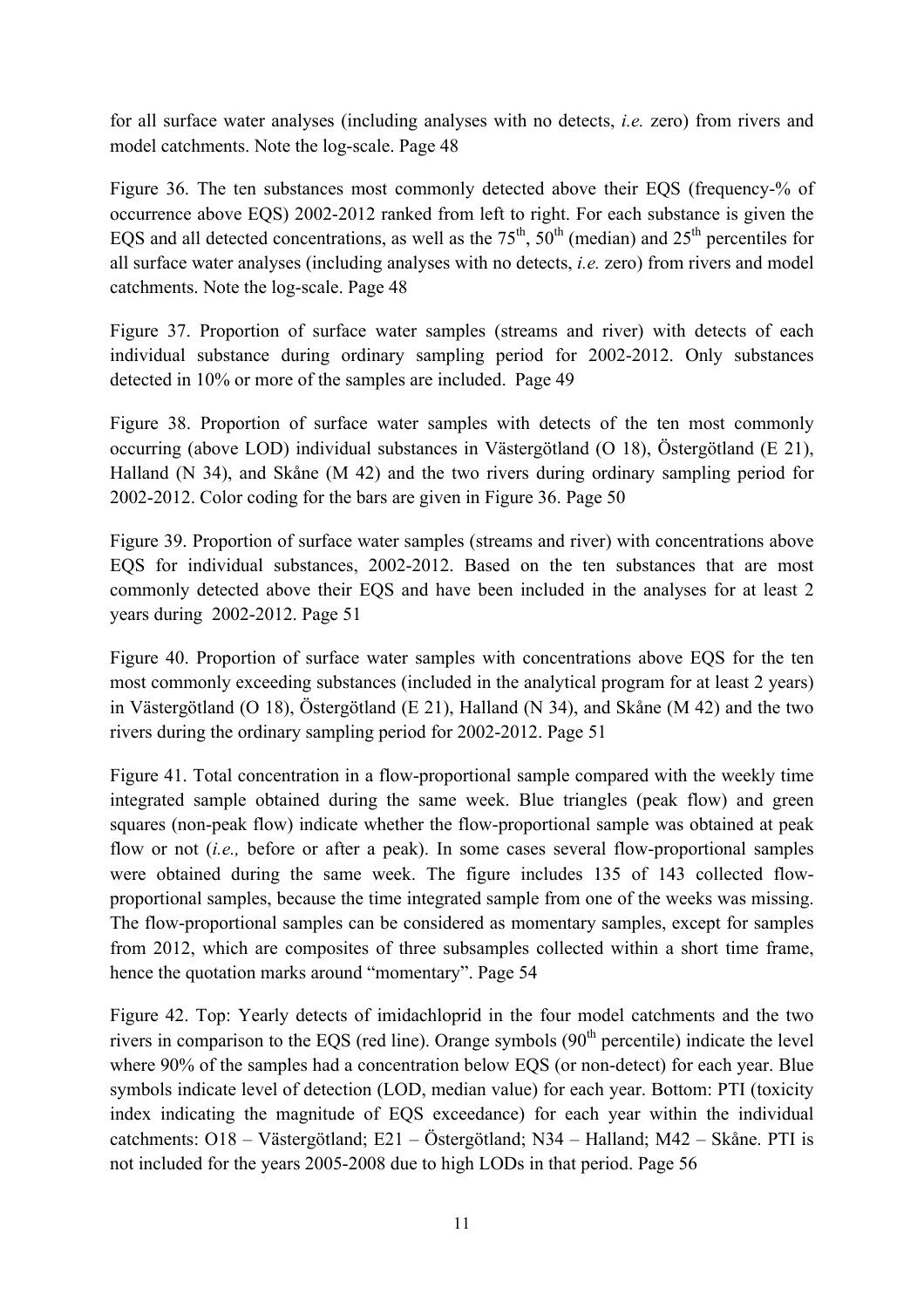for all surface water analyses (including analyses with no detects, *i.e.* zero) from rivers and model catchments. Note the log-scale. Page 48

Figure 36. The ten substances most commonly detected above their EQS (frequency-% of occurrence above EQS) 2002-2012 ranked from left to right. For each substance is given the EQS and all detected concentrations, as well as the  $75<sup>th</sup>$ ,  $50<sup>th</sup>$  (median) and  $25<sup>th</sup>$  percentiles for all surface water analyses (including analyses with no detects, *i.e.* zero) from rivers and model catchments. Note the log-scale. Page 48

Figure 37. Proportion of surface water samples (streams and river) with detects of each individual substance during ordinary sampling period for 2002-2012. Only substances detected in 10% or more of the samples are included. Page 49

Figure 38. Proportion of surface water samples with detects of the ten most commonly occurring (above LOD) individual substances in Västergötland (O 18), Östergötland (E 21), Halland (N 34), and Skåne (M 42) and the two rivers during ordinary sampling period for 2002-2012. Color coding for the bars are given in Figure 36. Page 50

Figure 39. Proportion of surface water samples (streams and river) with concentrations above EQS for individual substances, 2002-2012. Based on the ten substances that are most commonly detected above their EQS and have been included in the analyses for at least 2 years during 2002-2012. Page 51

Figure 40. Proportion of surface water samples with concentrations above EQS for the ten most commonly exceeding substances (included in the analytical program for at least 2 years) in Västergötland (O 18), Östergötland (E 21), Halland (N 34), and Skåne (M 42) and the two rivers during the ordinary sampling period for 2002-2012. Page 51

Figure 41. Total concentration in a flow-proportional sample compared with the weekly time integrated sample obtained during the same week. Blue triangles (peak flow) and green squares (non-peak flow) indicate whether the flow-proportional sample was obtained at peak flow or not (*i.e.,* before or after a peak). In some cases several flow-proportional samples were obtained during the same week. The figure includes 135 of 143 collected flowproportional samples, because the time integrated sample from one of the weeks was missing. The flow-proportional samples can be considered as momentary samples, except for samples from 2012, which are composites of three subsamples collected within a short time frame, hence the quotation marks around "momentary". Page 54

Figure 42. Top: Yearly detects of imidachloprid in the four model catchments and the two rivers in comparison to the EQS (red line). Orange symbols  $(90<sup>th</sup>$  percentile) indicate the level where 90% of the samples had a concentration below EQS (or non-detect) for each year. Blue symbols indicate level of detection (LOD, median value) for each year. Bottom: PTI (toxicity index indicating the magnitude of EQS exceedance) for each year within the individual catchments: O18 – Västergötland; E21 – Östergötland; N34 – Halland; M42 – Skåne. PTI is not included for the years 2005-2008 due to high LODs in that period. Page 56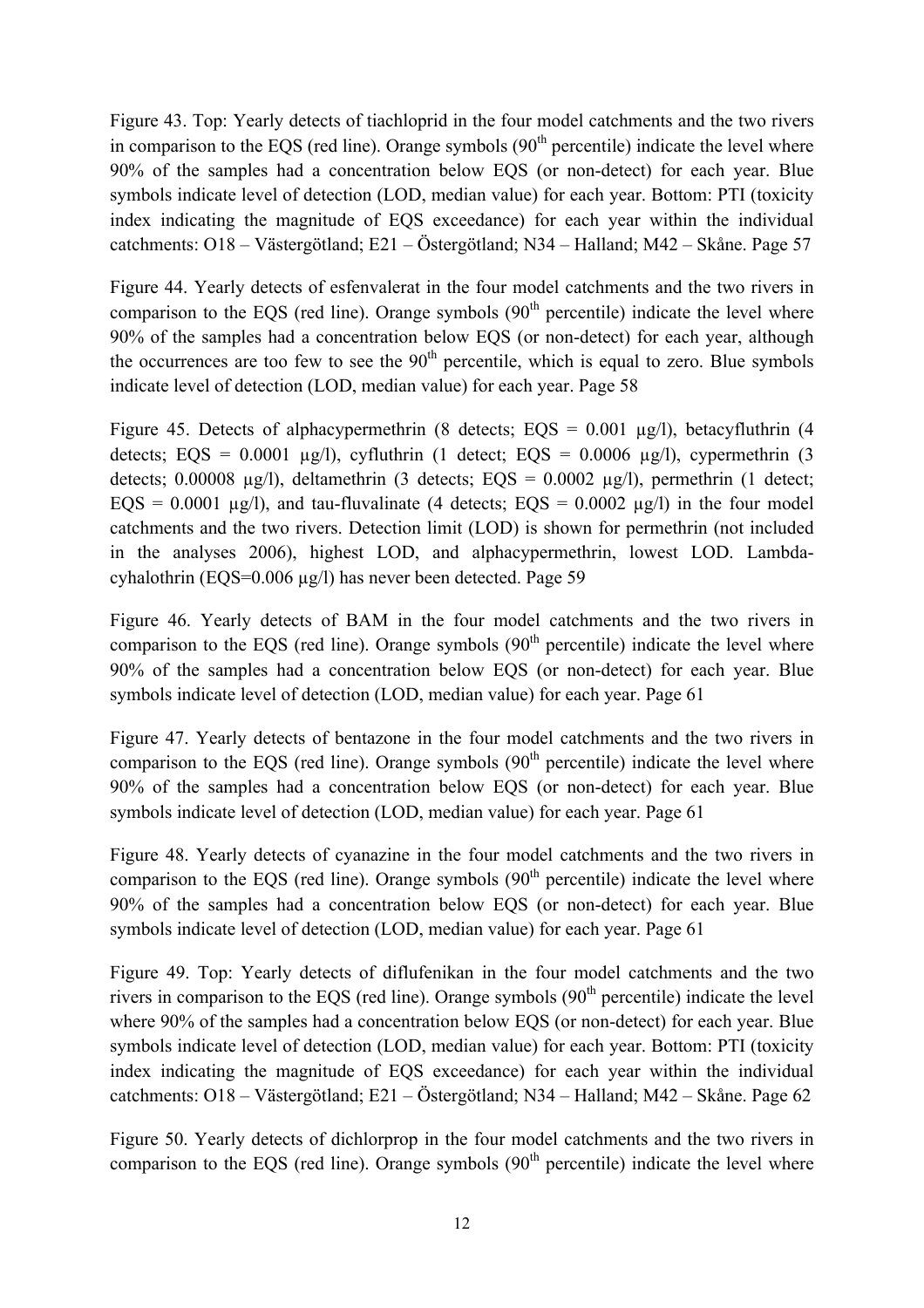Figure 43. Top: Yearly detects of tiachloprid in the four model catchments and the two rivers in comparison to the EOS (red line). Orange symbols  $(90<sup>th</sup>$  percentile) indicate the level where 90% of the samples had a concentration below EQS (or non-detect) for each year. Blue symbols indicate level of detection (LOD, median value) for each year. Bottom: PTI (toxicity index indicating the magnitude of EQS exceedance) for each year within the individual catchments: O18 – Västergötland; E21 – Östergötland; N34 – Halland; M42 – Skåne. Page 57

Figure 44. Yearly detects of esfenvalerat in the four model catchments and the two rivers in comparison to the EQS (red line). Orange symbols  $(90<sup>th</sup>$  percentile) indicate the level where 90% of the samples had a concentration below EQS (or non-detect) for each year, although the occurrences are too few to see the  $90<sup>th</sup>$  percentile, which is equal to zero. Blue symbols indicate level of detection (LOD, median value) for each year. Page 58

Figure 45. Detects of alphacypermethrin (8 detects;  $EQS = 0.001 \mu g/l$ ), betacyfluthrin (4 detects;  $EOS = 0.0001 \mu g/l$ , cyfluthrin (1 detect;  $EOS = 0.0006 \mu g/l$ ), cypermethrin (3 detects; 0.00008  $\mu$ g/l), deltamethrin (3 detects; EQS = 0.0002  $\mu$ g/l), permethrin (1 detect; EQS = 0.0001  $\mu$ g/l), and tau-fluvalinate (4 detects; EQS = 0.0002  $\mu$ g/l) in the four model catchments and the two rivers. Detection limit (LOD) is shown for permethrin (not included in the analyses 2006), highest LOD, and alphacypermethrin, lowest LOD. Lambdacyhalothrin (EQS=0.006 µg/l) has never been detected. Page 59

Figure 46. Yearly detects of BAM in the four model catchments and the two rivers in comparison to the EQS (red line). Orange symbols  $(90<sup>th</sup>$  percentile) indicate the level where 90% of the samples had a concentration below EQS (or non-detect) for each year. Blue symbols indicate level of detection (LOD, median value) for each year. Page 61

Figure 47. Yearly detects of bentazone in the four model catchments and the two rivers in comparison to the EQS (red line). Orange symbols  $(90<sup>th</sup>$  percentile) indicate the level where 90% of the samples had a concentration below EQS (or non-detect) for each year. Blue symbols indicate level of detection (LOD, median value) for each year. Page 61

Figure 48. Yearly detects of cyanazine in the four model catchments and the two rivers in comparison to the EQS (red line). Orange symbols  $(90<sup>th</sup>$  percentile) indicate the level where 90% of the samples had a concentration below EQS (or non-detect) for each year. Blue symbols indicate level of detection (LOD, median value) for each year. Page 61

Figure 49. Top: Yearly detects of diflufenikan in the four model catchments and the two rivers in comparison to the EOS (red line). Orange symbols  $(90<sup>th</sup>$  percentile) indicate the level where 90% of the samples had a concentration below EQS (or non-detect) for each year. Blue symbols indicate level of detection (LOD, median value) for each year. Bottom: PTI (toxicity index indicating the magnitude of EQS exceedance) for each year within the individual catchments: O18 – Västergötland; E21 – Östergötland; N34 – Halland; M42 – Skåne. Page 62

Figure 50. Yearly detects of dichlorprop in the four model catchments and the two rivers in comparison to the EQS (red line). Orange symbols  $(90<sup>th</sup>$  percentile) indicate the level where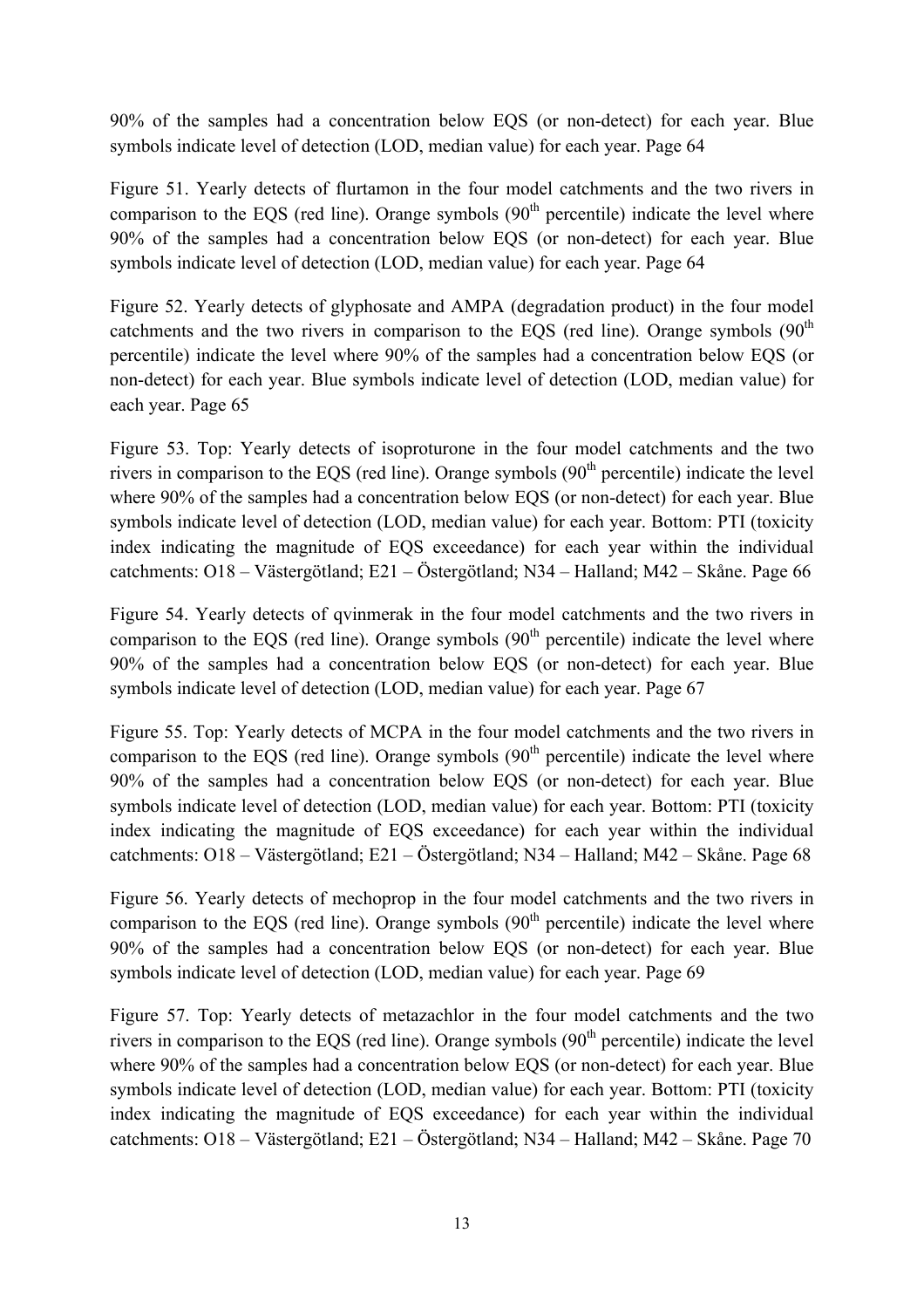90% of the samples had a concentration below EQS (or non-detect) for each year. Blue symbols indicate level of detection (LOD, median value) for each year. Page 64

Figure 51. Yearly detects of flurtamon in the four model catchments and the two rivers in comparison to the EQS (red line). Orange symbols  $(90<sup>th</sup>$  percentile) indicate the level where 90% of the samples had a concentration below EQS (or non-detect) for each year. Blue symbols indicate level of detection (LOD, median value) for each year. Page 64

Figure 52. Yearly detects of glyphosate and AMPA (degradation product) in the four model catchments and the two rivers in comparison to the EQS (red line). Orange symbols  $(90<sup>th</sup>$ percentile) indicate the level where 90% of the samples had a concentration below EQS (or non-detect) for each year. Blue symbols indicate level of detection (LOD, median value) for each year. Page 65

Figure 53. Top: Yearly detects of isoproturone in the four model catchments and the two rivers in comparison to the EOS (red line). Orange symbols  $(90<sup>th</sup>$  percentile) indicate the level where 90% of the samples had a concentration below EQS (or non-detect) for each year. Blue symbols indicate level of detection (LOD, median value) for each year. Bottom: PTI (toxicity index indicating the magnitude of EQS exceedance) for each year within the individual catchments: O18 – Västergötland; E21 – Östergötland; N34 – Halland; M42 – Skåne. Page 66

Figure 54. Yearly detects of qvinmerak in the four model catchments and the two rivers in comparison to the EQS (red line). Orange symbols  $(90<sup>th</sup>$  percentile) indicate the level where 90% of the samples had a concentration below EQS (or non-detect) for each year. Blue symbols indicate level of detection (LOD, median value) for each year. Page 67

Figure 55. Top: Yearly detects of MCPA in the four model catchments and the two rivers in comparison to the EOS (red line). Orange symbols  $(90<sup>th</sup>$  percentile) indicate the level where 90% of the samples had a concentration below EQS (or non-detect) for each year. Blue symbols indicate level of detection (LOD, median value) for each year. Bottom: PTI (toxicity index indicating the magnitude of EQS exceedance) for each year within the individual catchments: O18 – Västergötland; E21 – Östergötland; N34 – Halland; M42 – Skåne. Page 68

Figure 56. Yearly detects of mechoprop in the four model catchments and the two rivers in comparison to the EOS (red line). Orange symbols  $(90<sup>th</sup>$  percentile) indicate the level where 90% of the samples had a concentration below EQS (or non-detect) for each year. Blue symbols indicate level of detection (LOD, median value) for each year. Page 69

Figure 57. Top: Yearly detects of metazachlor in the four model catchments and the two rivers in comparison to the EQS (red line). Orange symbols  $(90<sup>th</sup>$  percentile) indicate the level where 90% of the samples had a concentration below EQS (or non-detect) for each year. Blue symbols indicate level of detection (LOD, median value) for each year. Bottom: PTI (toxicity index indicating the magnitude of EQS exceedance) for each year within the individual catchments: O18 – Västergötland; E21 – Östergötland; N34 – Halland; M42 – Skåne. Page 70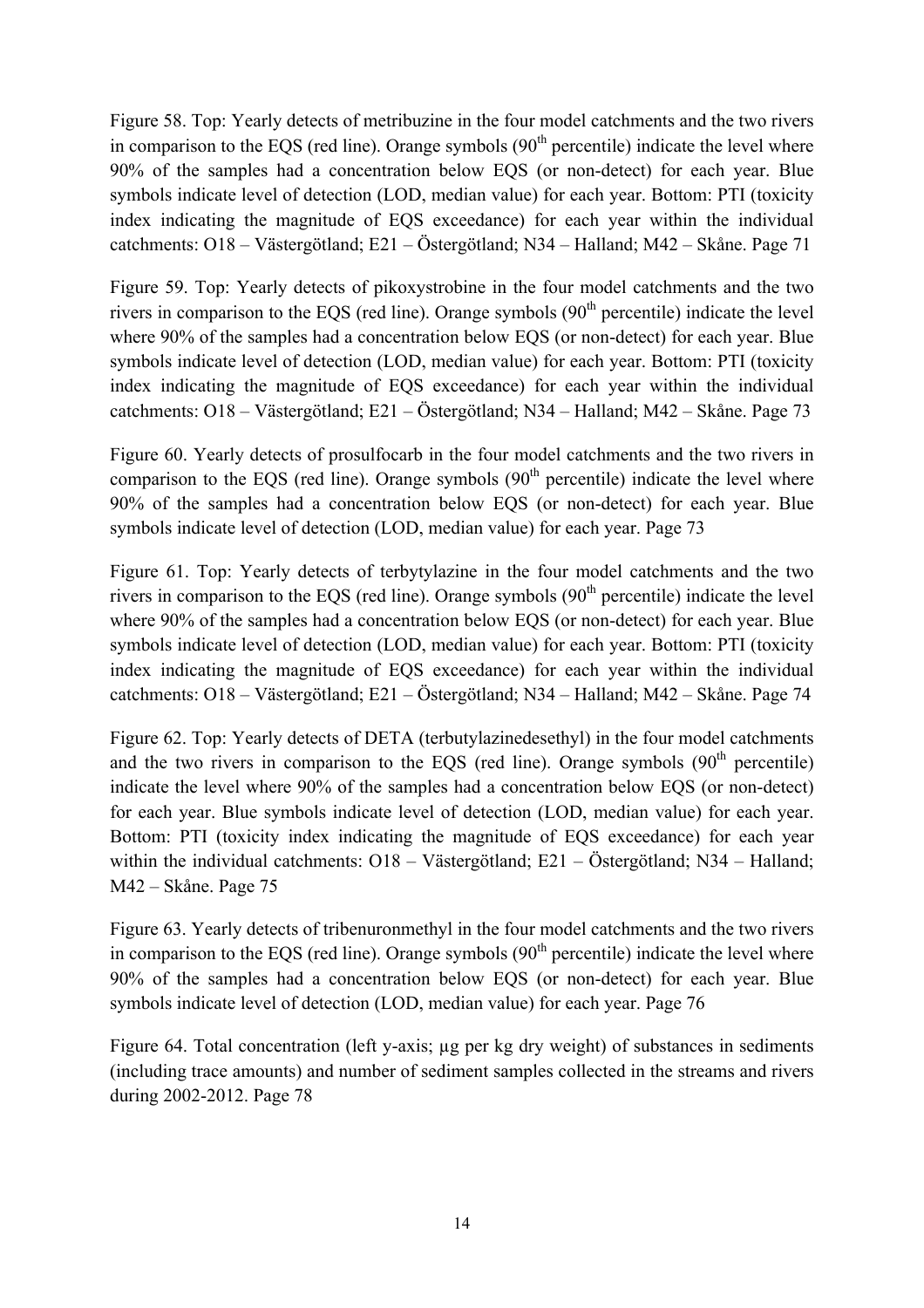Figure 58. Top: Yearly detects of metribuzine in the four model catchments and the two rivers in comparison to the EOS (red line). Orange symbols  $(90<sup>th</sup>$  percentile) indicate the level where 90% of the samples had a concentration below EQS (or non-detect) for each year. Blue symbols indicate level of detection (LOD, median value) for each year. Bottom: PTI (toxicity index indicating the magnitude of EQS exceedance) for each year within the individual catchments: O18 – Västergötland; E21 – Östergötland; N34 – Halland; M42 – Skåne. Page 71

Figure 59. Top: Yearly detects of pikoxystrobine in the four model catchments and the two rivers in comparison to the EQS (red line). Orange symbols  $(90<sup>th</sup>$  percentile) indicate the level where 90% of the samples had a concentration below EOS (or non-detect) for each year. Blue symbols indicate level of detection (LOD, median value) for each year. Bottom: PTI (toxicity index indicating the magnitude of EQS exceedance) for each year within the individual catchments: O18 – Västergötland; E21 – Östergötland; N34 – Halland; M42 – Skåne. Page 73

Figure 60. Yearly detects of prosulfocarb in the four model catchments and the two rivers in comparison to the EQS (red line). Orange symbols  $(90<sup>th</sup>$  percentile) indicate the level where 90% of the samples had a concentration below EQS (or non-detect) for each year. Blue symbols indicate level of detection (LOD, median value) for each year. Page 73

Figure 61. Top: Yearly detects of terbytylazine in the four model catchments and the two rivers in comparison to the EQS (red line). Orange symbols  $(90<sup>th</sup>$  percentile) indicate the level where 90% of the samples had a concentration below EOS (or non-detect) for each year. Blue symbols indicate level of detection (LOD, median value) for each year. Bottom: PTI (toxicity index indicating the magnitude of EQS exceedance) for each year within the individual catchments: O18 – Västergötland; E21 – Östergötland; N34 – Halland; M42 – Skåne. Page 74

Figure 62. Top: Yearly detects of DETA (terbutylazinedesethyl) in the four model catchments and the two rivers in comparison to the EQS (red line). Orange symbols  $(90<sup>th</sup>$  percentile) indicate the level where 90% of the samples had a concentration below EQS (or non-detect) for each year. Blue symbols indicate level of detection (LOD, median value) for each year. Bottom: PTI (toxicity index indicating the magnitude of EQS exceedance) for each year within the individual catchments: O18 – Västergötland; E21 – Östergötland; N34 – Halland; M42 – Skåne. Page 75

Figure 63. Yearly detects of tribenuronmethyl in the four model catchments and the two rivers in comparison to the EOS (red line). Orange symbols  $(90<sup>th</sup>$  percentile) indicate the level where 90% of the samples had a concentration below EQS (or non-detect) for each year. Blue symbols indicate level of detection (LOD, median value) for each year. Page 76

Figure 64. Total concentration (left y-axis; µg per kg dry weight) of substances in sediments (including trace amounts) and number of sediment samples collected in the streams and rivers during 2002-2012. Page 78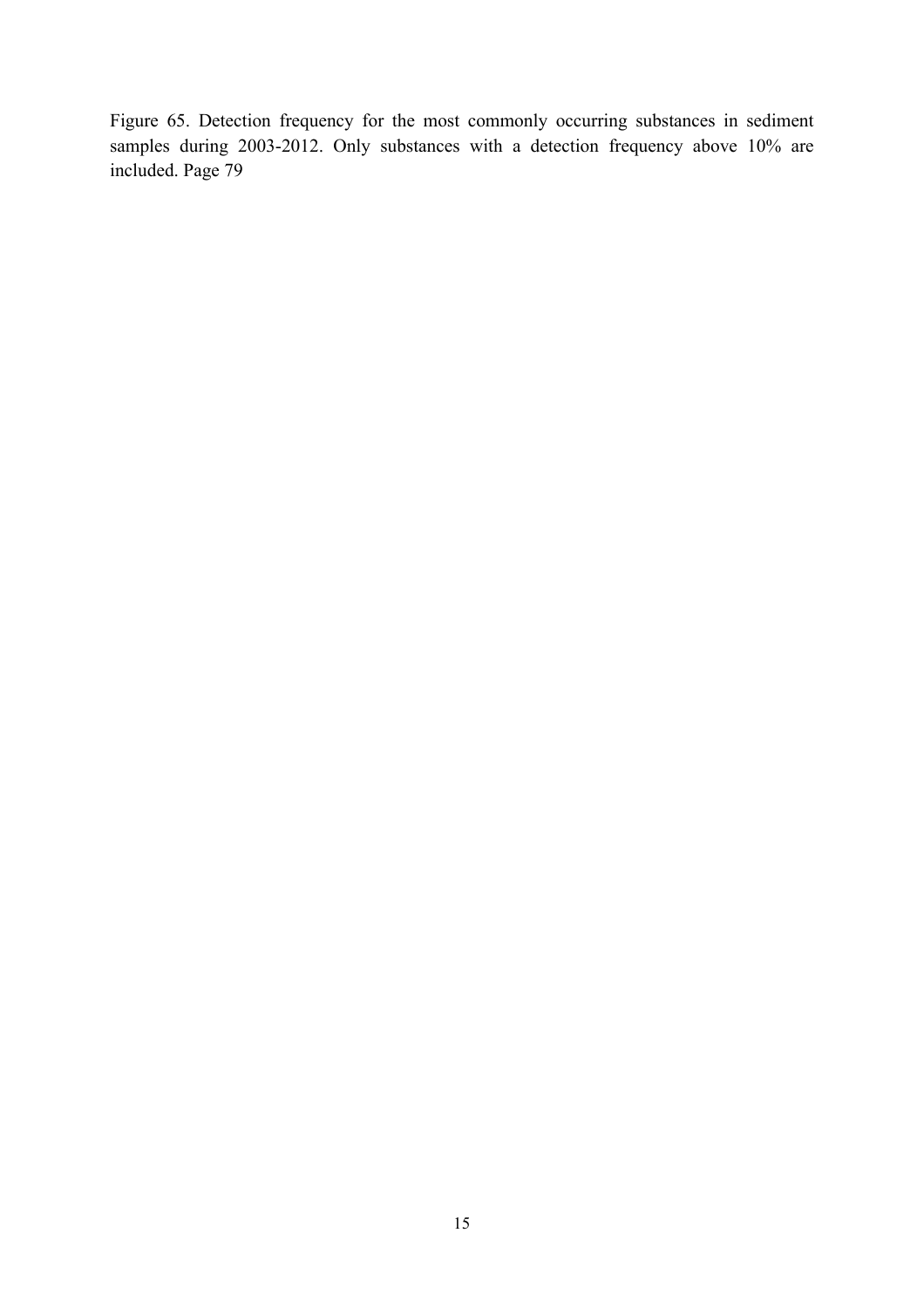Figure 65. Detection frequency for the most commonly occurring substances in sediment samples during 2003-2012. Only substances with a detection frequency above 10% are included. Page 79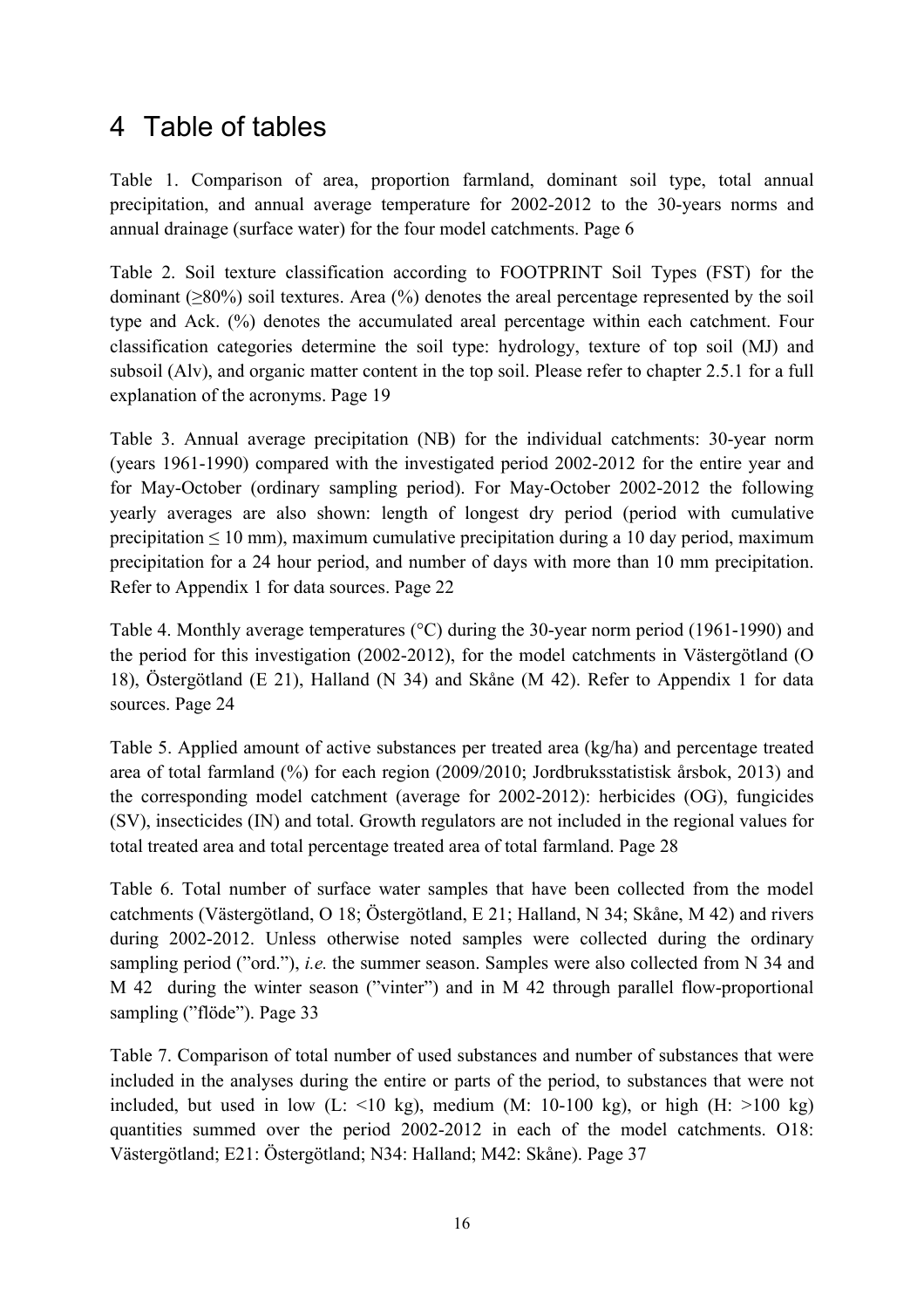### 4 Table of tables

Table 1. Comparison of area, proportion farmland, dominant soil type, total annual precipitation, and annual average temperature for 2002-2012 to the 30-years norms and annual drainage (surface water) for the four model catchments. Page 6

Table 2. Soil texture classification according to FOOTPRINT Soil Types (FST) for the dominant  $(\geq 80\%)$  soil textures. Area  $(\% )$  denotes the areal percentage represented by the soil type and Ack. (%) denotes the accumulated areal percentage within each catchment. Four classification categories determine the soil type: hydrology, texture of top soil (MJ) and subsoil (Alv), and organic matter content in the top soil. Please refer to chapter 2.5.1 for a full explanation of the acronyms. Page 19

Table 3. Annual average precipitation (NB) for the individual catchments: 30-year norm (years 1961-1990) compared with the investigated period 2002-2012 for the entire year and for May-October (ordinary sampling period). For May-October 2002-2012 the following yearly averages are also shown: length of longest dry period (period with cumulative precipitation  $\leq 10$  mm), maximum cumulative precipitation during a 10 day period, maximum precipitation for a 24 hour period, and number of days with more than 10 mm precipitation. Refer to Appendix 1 for data sources. Page 22

Table 4. Monthly average temperatures (°C) during the 30-year norm period (1961-1990) and the period for this investigation (2002-2012), for the model catchments in Västergötland (O 18), Östergötland (E 21), Halland (N 34) and Skåne (M 42). Refer to Appendix 1 for data sources. Page 24

Table 5. Applied amount of active substances per treated area (kg/ha) and percentage treated area of total farmland (%) for each region (2009/2010; Jordbruksstatistisk årsbok, 2013) and the corresponding model catchment (average for 2002-2012): herbicides (OG), fungicides (SV), insecticides (IN) and total. Growth regulators are not included in the regional values for total treated area and total percentage treated area of total farmland. Page 28

Table 6. Total number of surface water samples that have been collected from the model catchments (Västergötland, O 18; Östergötland, E 21; Halland, N 34; Skåne, M 42) and rivers during 2002-2012. Unless otherwise noted samples were collected during the ordinary sampling period ("ord."), *i.e.* the summer season. Samples were also collected from N 34 and M 42 during the winter season ("vinter") and in M 42 through parallel flow-proportional sampling ("flöde"). Page 33

Table 7. Comparison of total number of used substances and number of substances that were included in the analyses during the entire or parts of the period, to substances that were not included, but used in low (L:  $\leq 10$  kg), medium (M: 10-100 kg), or high (H:  $\geq 100$  kg) quantities summed over the period 2002-2012 in each of the model catchments. O18: Västergötland; E21: Östergötland; N34: Halland; M42: Skåne). Page 37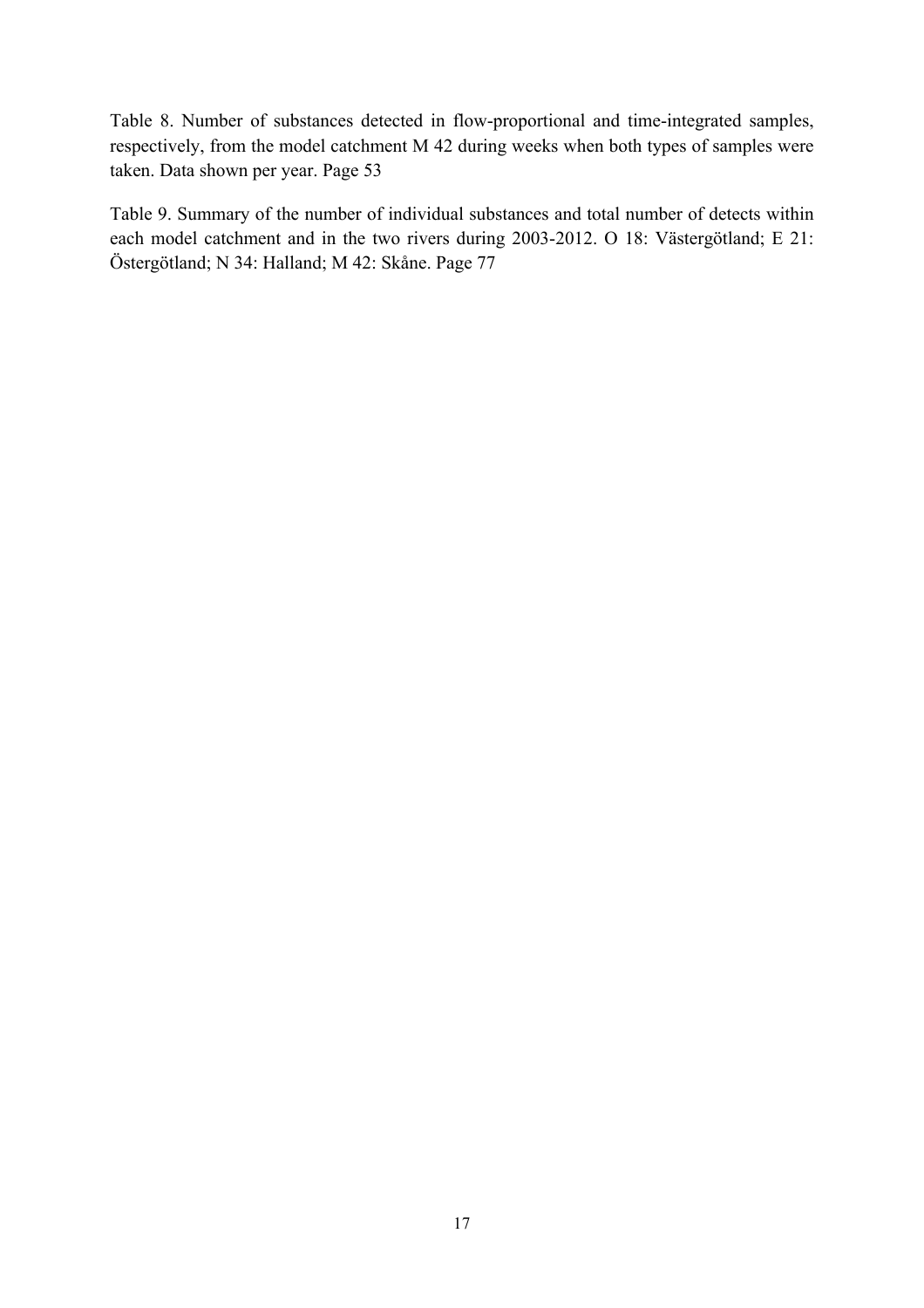Table 8. Number of substances detected in flow-proportional and time-integrated samples, respectively, from the model catchment M 42 during weeks when both types of samples were taken. Data shown per year. Page 53

Table 9. Summary of the number of individual substances and total number of detects within each model catchment and in the two rivers during 2003-2012. O 18: Västergötland; E 21: Östergötland; N 34: Halland; M 42: Skåne. Page 77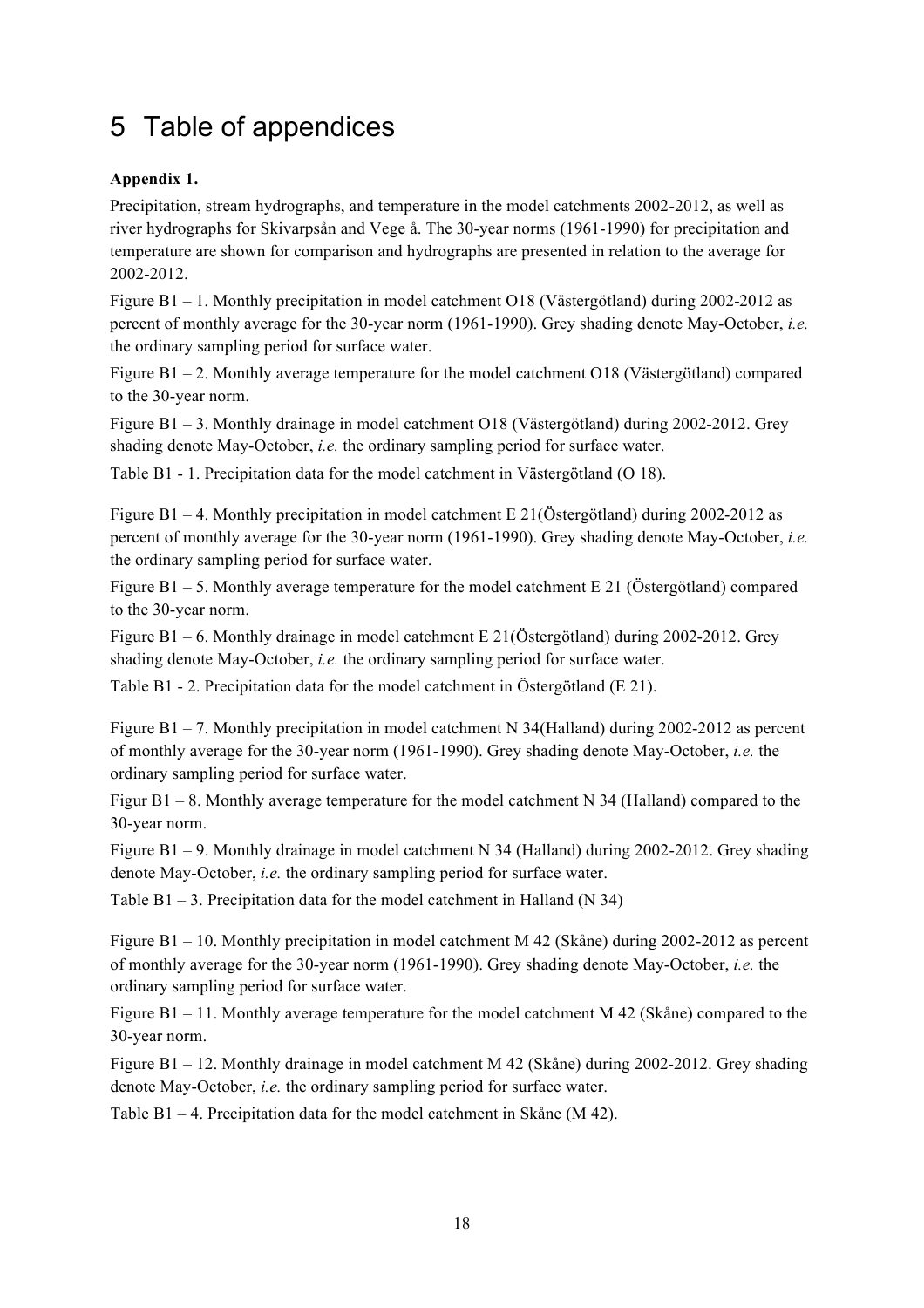# 5 Table of appendices

### **Appendix 1.**

Precipitation, stream hydrographs, and temperature in the model catchments 2002-2012, as well as river hydrographs for Skivarpsån and Vege å. The 30-year norms (1961-1990) for precipitation and temperature are shown for comparison and hydrographs are presented in relation to the average for 2002-2012.

Figure B1 – 1. Monthly precipitation in model catchment O18 (Västergötland) during 2002-2012 as percent of monthly average for the 30-year norm (1961-1990). Grey shading denote May-October, *i.e.*  the ordinary sampling period for surface water.

Figure B1 – 2. Monthly average temperature for the model catchment O18 (Västergötland) compared to the 30-year norm.

Figure B1 – 3. Monthly drainage in model catchment O18 (Västergötland) during 2002-2012. Grey shading denote May-October, *i.e.* the ordinary sampling period for surface water.

Table B1 - 1. Precipitation data for the model catchment in Västergötland (O 18).

Figure B1 – 4. Monthly precipitation in model catchment E 21(Östergötland) during 2002-2012 as percent of monthly average for the 30-year norm (1961-1990). Grey shading denote May-October, *i.e.*  the ordinary sampling period for surface water.

Figure B1 – 5. Monthly average temperature for the model catchment E 21 (Östergötland) compared to the 30-year norm.

Figure B1 – 6. Monthly drainage in model catchment E 21(Östergötland) during 2002-2012. Grey shading denote May-October, *i.e.* the ordinary sampling period for surface water.

Table B1 - 2. Precipitation data for the model catchment in Östergötland (E 21).

Figure B1 – 7. Monthly precipitation in model catchment N 34(Halland) during 2002-2012 as percent of monthly average for the 30-year norm (1961-1990). Grey shading denote May-October, *i.e.* the ordinary sampling period for surface water.

Figur B1 – 8. Monthly average temperature for the model catchment N 34 (Halland) compared to the 30-year norm.

Figure B1 – 9. Monthly drainage in model catchment N 34 (Halland) during 2002-2012. Grey shading denote May-October, *i.e.* the ordinary sampling period for surface water.

Table  $B1 - 3$ . Precipitation data for the model catchment in Halland (N 34)

Figure B1 – 10. Monthly precipitation in model catchment M 42 (Skåne) during 2002-2012 as percent of monthly average for the 30-year norm (1961-1990). Grey shading denote May-October, *i.e.* the ordinary sampling period for surface water.

Figure B1 – 11. Monthly average temperature for the model catchment M 42 (Skåne) compared to the 30-year norm.

Figure B1 – 12. Monthly drainage in model catchment M 42 (Skåne) during 2002-2012. Grey shading denote May-October, *i.e.* the ordinary sampling period for surface water.

Table B1 – 4. Precipitation data for the model catchment in Skåne (M 42).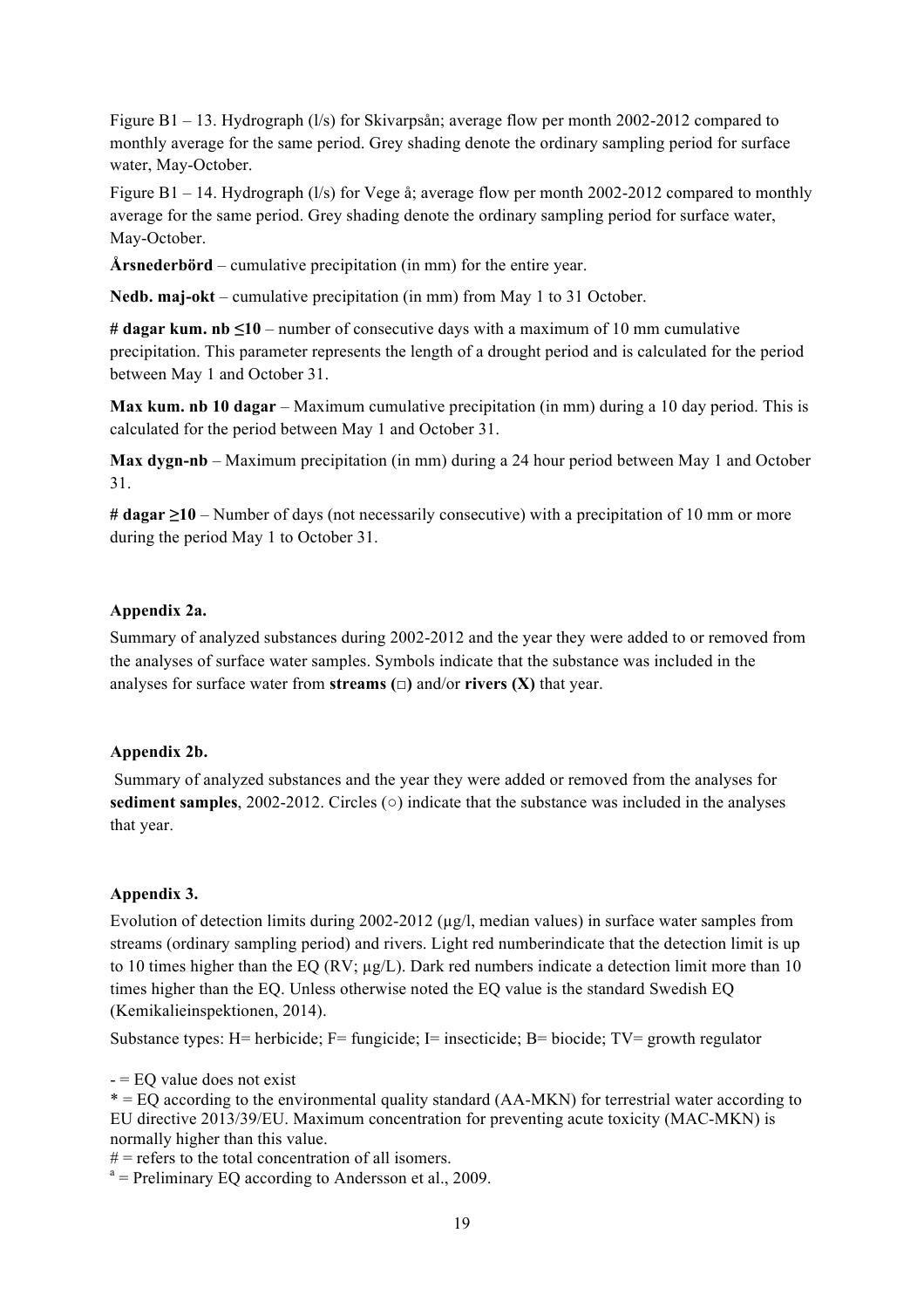Figure B1 – 13. Hydrograph (l/s) for Skivarpsån; average flow per month 2002-2012 compared to monthly average for the same period. Grey shading denote the ordinary sampling period for surface water, May-October.

Figure B1 – 14. Hydrograph (l/s) for Vege å; average flow per month 2002-2012 compared to monthly average for the same period. Grey shading denote the ordinary sampling period for surface water, May-October.

**Årsnederbörd** – cumulative precipitation (in mm) for the entire year.

**Nedb. maj-okt** – cumulative precipitation (in mm) from May 1 to 31 October.

**# dagar kum. nb ≤10** – number of consecutive days with a maximum of 10 mm cumulative precipitation. This parameter represents the length of a drought period and is calculated for the period between May 1 and October 31.

**Max kum. nb 10 dagar** – Maximum cumulative precipitation (in mm) during a 10 day period. This is calculated for the period between May 1 and October 31.

**Max dygn-nb** – Maximum precipitation (in mm) during a 24 hour period between May 1 and October 31.

**# dagar ≥10** – Number of days (not necessarily consecutive) with a precipitation of 10 mm or more during the period May 1 to October 31.

#### **Appendix 2a.**

Summary of analyzed substances during 2002-2012 and the year they were added to or removed from the analyses of surface water samples. Symbols indicate that the substance was included in the analyses for surface water from **streams**  $(\Box)$  and/or **rivers**  $(X)$  that year.

#### **Appendix 2b.**

Summary of analyzed substances and the year they were added or removed from the analyses for **sediment samples**, 2002-2012. Circles (**○**) indicate that the substance was included in the analyses that year.

#### **Appendix 3.**

Evolution of detection limits during 2002-2012 ( $\mu$ g/l, median values) in surface water samples from streams (ordinary sampling period) and rivers. Light red numberindicate that the detection limit is up to 10 times higher than the EQ (RV; µg/L). Dark red numbers indicate a detection limit more than 10 times higher than the EQ. Unless otherwise noted the EQ value is the standard Swedish EQ (Kemikalieinspektionen, 2014).

Substance types: H= herbicide; F= fungicide; I= insecticide; B= biocide; TV= growth regulator

 $-$  = EO value does not exist

\* = EQ according to the environmental quality standard (AA-MKN) for terrestrial water according to EU directive 2013/39/EU. Maximum concentration for preventing acute toxicity (MAC-MKN) is normally higher than this value.

 $#$  = refers to the total concentration of all isomers.<br><sup>a</sup> = Preliminary EQ according to Andersson et al., 2009.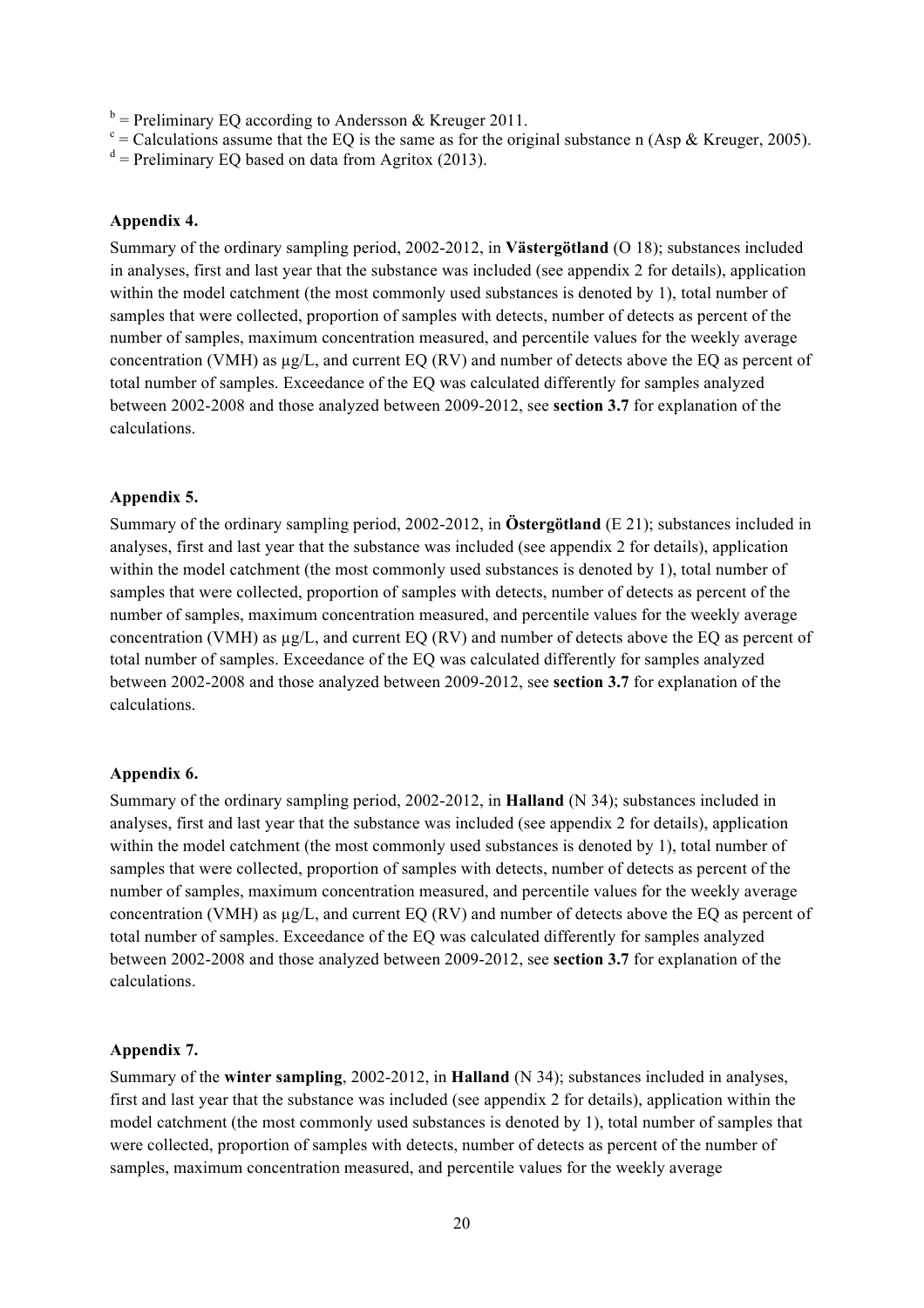$b =$ Preliminary EQ according to Andersson & Kreuger 2011.

 $c =$  Calculations assume that the EQ is the same as for the original substance n (Asp & Kreuger, 2005).

 $d =$  Preliminary EQ based on data from Agritox (2013).

#### **Appendix 4.**

Summary of the ordinary sampling period, 2002-2012, in **Västergötland** (O 18); substances included in analyses, first and last year that the substance was included (see appendix 2 for details), application within the model catchment (the most commonly used substances is denoted by 1), total number of samples that were collected, proportion of samples with detects, number of detects as percent of the number of samples, maximum concentration measured, and percentile values for the weekly average concentration (VMH) as  $\mu$ g/L, and current EQ (RV) and number of detects above the EQ as percent of total number of samples. Exceedance of the EQ was calculated differently for samples analyzed between 2002-2008 and those analyzed between 2009-2012, see **section 3.7** for explanation of the calculations.

#### **Appendix 5.**

Summary of the ordinary sampling period, 2002-2012, in **Östergötland** (E 21); substances included in analyses, first and last year that the substance was included (see appendix 2 for details), application within the model catchment (the most commonly used substances is denoted by 1), total number of samples that were collected, proportion of samples with detects, number of detects as percent of the number of samples, maximum concentration measured, and percentile values for the weekly average concentration (VMH) as µg/L, and current EQ (RV) and number of detects above the EQ as percent of total number of samples. Exceedance of the EQ was calculated differently for samples analyzed between 2002-2008 and those analyzed between 2009-2012, see **section 3.7** for explanation of the calculations.

#### **Appendix 6.**

Summary of the ordinary sampling period, 2002-2012, in **Halland** (N 34); substances included in analyses, first and last year that the substance was included (see appendix 2 for details), application within the model catchment (the most commonly used substances is denoted by 1), total number of samples that were collected, proportion of samples with detects, number of detects as percent of the number of samples, maximum concentration measured, and percentile values for the weekly average concentration (VMH) as  $\mu$ g/L, and current EQ (RV) and number of detects above the EQ as percent of total number of samples. Exceedance of the EQ was calculated differently for samples analyzed between 2002-2008 and those analyzed between 2009-2012, see **section 3.7** for explanation of the calculations.

#### **Appendix 7.**

Summary of the **winter sampling**, 2002-2012, in **Halland** (N 34); substances included in analyses, first and last year that the substance was included (see appendix 2 for details), application within the model catchment (the most commonly used substances is denoted by 1), total number of samples that were collected, proportion of samples with detects, number of detects as percent of the number of samples, maximum concentration measured, and percentile values for the weekly average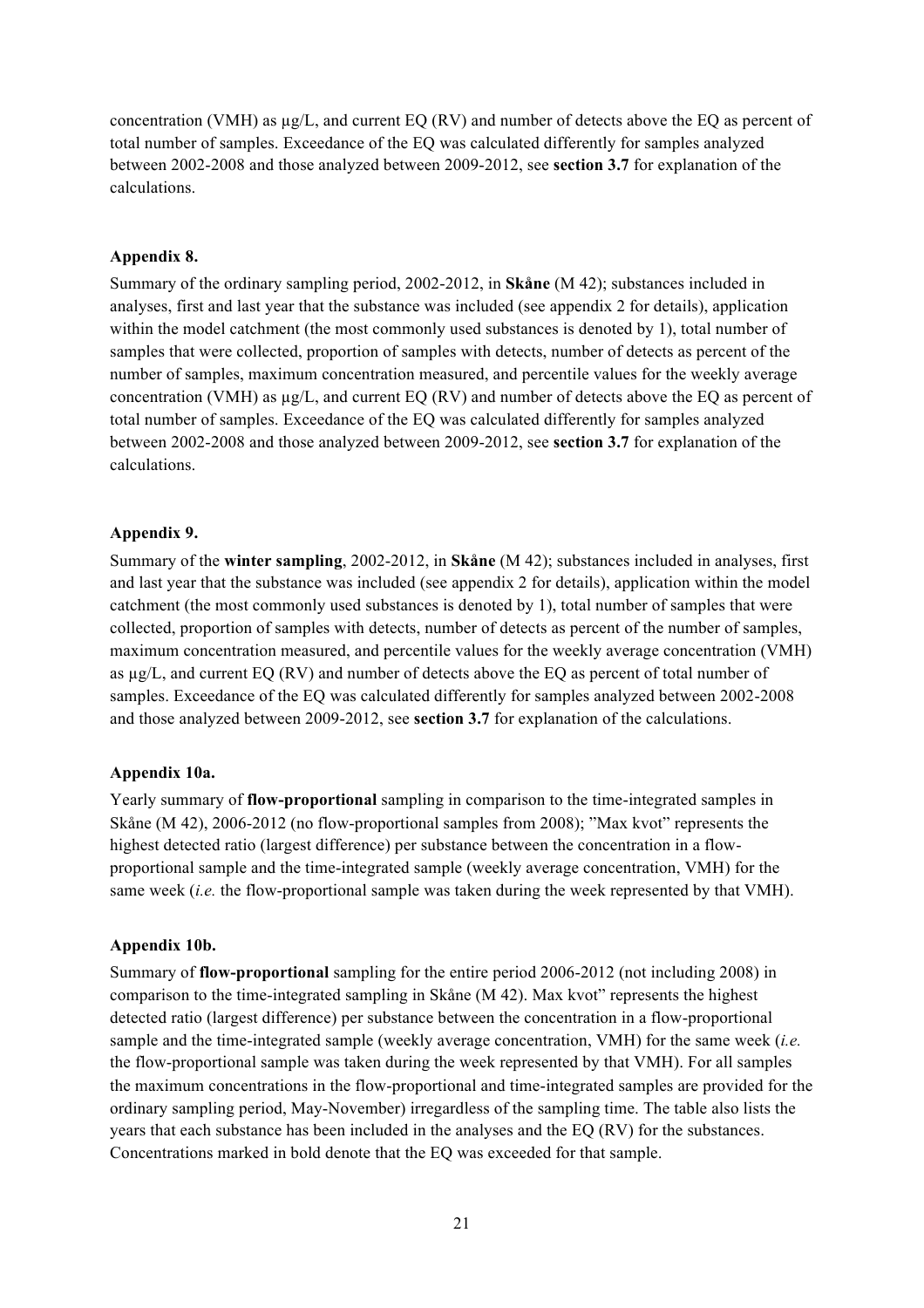concentration (VMH) as µg/L, and current EQ (RV) and number of detects above the EQ as percent of total number of samples. Exceedance of the EQ was calculated differently for samples analyzed between 2002-2008 and those analyzed between 2009-2012, see **section 3.7** for explanation of the calculations.

#### **Appendix 8.**

Summary of the ordinary sampling period, 2002-2012, in **Skåne** (M 42); substances included in analyses, first and last year that the substance was included (see appendix 2 for details), application within the model catchment (the most commonly used substances is denoted by 1), total number of samples that were collected, proportion of samples with detects, number of detects as percent of the number of samples, maximum concentration measured, and percentile values for the weekly average concentration (VMH) as  $\mu$ g/L, and current EQ (RV) and number of detects above the EQ as percent of total number of samples. Exceedance of the EQ was calculated differently for samples analyzed between 2002-2008 and those analyzed between 2009-2012, see **section 3.7** for explanation of the calculations.

#### **Appendix 9.**

Summary of the **winter sampling**, 2002-2012, in **Skåne** (M 42); substances included in analyses, first and last year that the substance was included (see appendix 2 for details), application within the model catchment (the most commonly used substances is denoted by 1), total number of samples that were collected, proportion of samples with detects, number of detects as percent of the number of samples, maximum concentration measured, and percentile values for the weekly average concentration (VMH) as µg/L, and current EQ (RV) and number of detects above the EQ as percent of total number of samples. Exceedance of the EQ was calculated differently for samples analyzed between 2002-2008 and those analyzed between 2009-2012, see **section 3.7** for explanation of the calculations.

#### **Appendix 10a.**

Yearly summary of **flow-proportional** sampling in comparison to the time-integrated samples in Skåne (M 42), 2006-2012 (no flow-proportional samples from 2008); "Max kvot" represents the highest detected ratio (largest difference) per substance between the concentration in a flowproportional sample and the time-integrated sample (weekly average concentration, VMH) for the same week (*i.e.* the flow-proportional sample was taken during the week represented by that VMH).

#### **Appendix 10b.**

Summary of **flow-proportional** sampling for the entire period 2006-2012 (not including 2008) in comparison to the time-integrated sampling in Skåne (M 42). Max kvot" represents the highest detected ratio (largest difference) per substance between the concentration in a flow-proportional sample and the time-integrated sample (weekly average concentration, VMH) for the same week (*i.e.*  the flow-proportional sample was taken during the week represented by that VMH). For all samples the maximum concentrations in the flow-proportional and time-integrated samples are provided for the ordinary sampling period, May-November) irregardless of the sampling time. The table also lists the years that each substance has been included in the analyses and the EQ (RV) for the substances. Concentrations marked in bold denote that the EQ was exceeded for that sample.